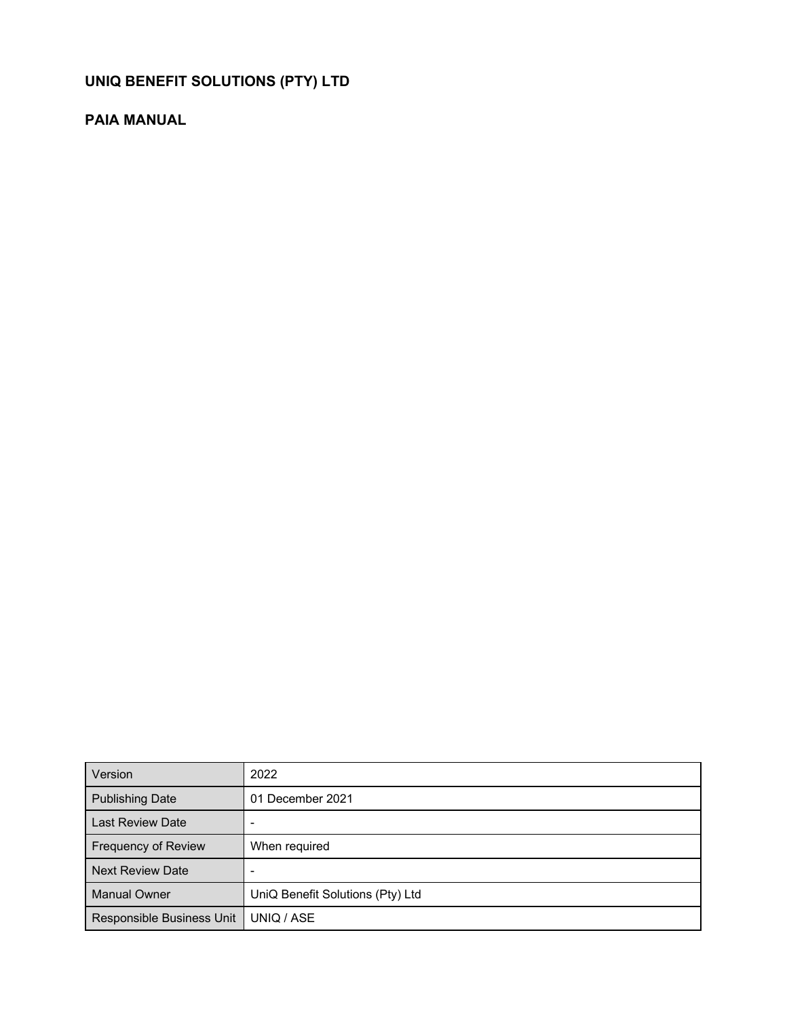# **UNIQ BENEFIT SOLUTIONS (PTY) LTD**

# **PAIA MANUAL**

| Version                    | 2022                             |
|----------------------------|----------------------------------|
| <b>Publishing Date</b>     | 01 December 2021                 |
| <b>Last Review Date</b>    |                                  |
| <b>Frequency of Review</b> | When required                    |
| <b>Next Review Date</b>    |                                  |
| <b>Manual Owner</b>        | UniQ Benefit Solutions (Pty) Ltd |
| Responsible Business Unit  | UNIQ / ASE                       |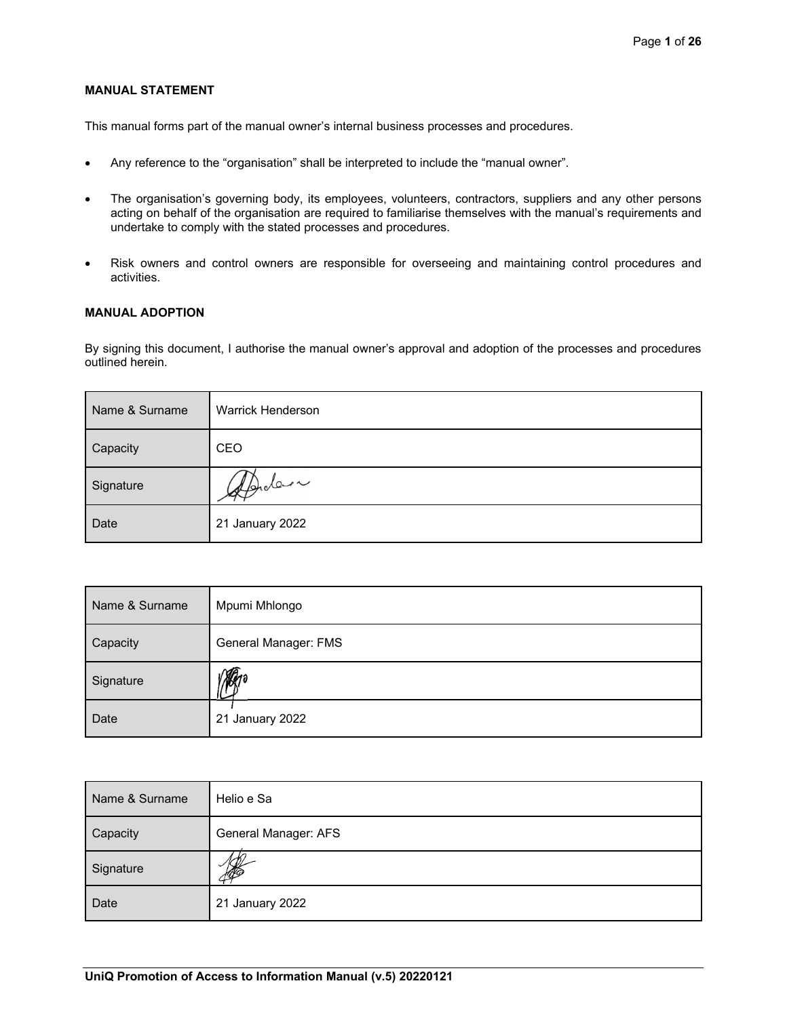### **MANUAL STATEMENT**

This manual forms part of the manual owner's internal business processes and procedures.

- Any reference to the "organisation" shall be interpreted to include the "manual owner".
- The organisation's governing body, its employees, volunteers, contractors, suppliers and any other persons acting on behalf of the organisation are required to familiarise themselves with the manual's requirements and undertake to comply with the stated processes and procedures.
- Risk owners and control owners are responsible for overseeing and maintaining control procedures and activities.

### **MANUAL ADOPTION**

By signing this document, I authorise the manual owner's approval and adoption of the processes and procedures outlined herein.

| Name & Surname | <b>Warrick Henderson</b> |
|----------------|--------------------------|
| Capacity       | CEO                      |
| Signature      | 1 Aprolen                |
| Date           | 21 January 2022          |

| Name & Surname | Mpumi Mhlongo        |
|----------------|----------------------|
| Capacity       | General Manager: FMS |
| Signature      |                      |
| Date           | 21 January 2022      |

| Name & Surname | Helio e Sa           |
|----------------|----------------------|
| Capacity       | General Manager: AFS |
| Signature      | <b>ASS</b>           |
| Date           | 21 January 2022      |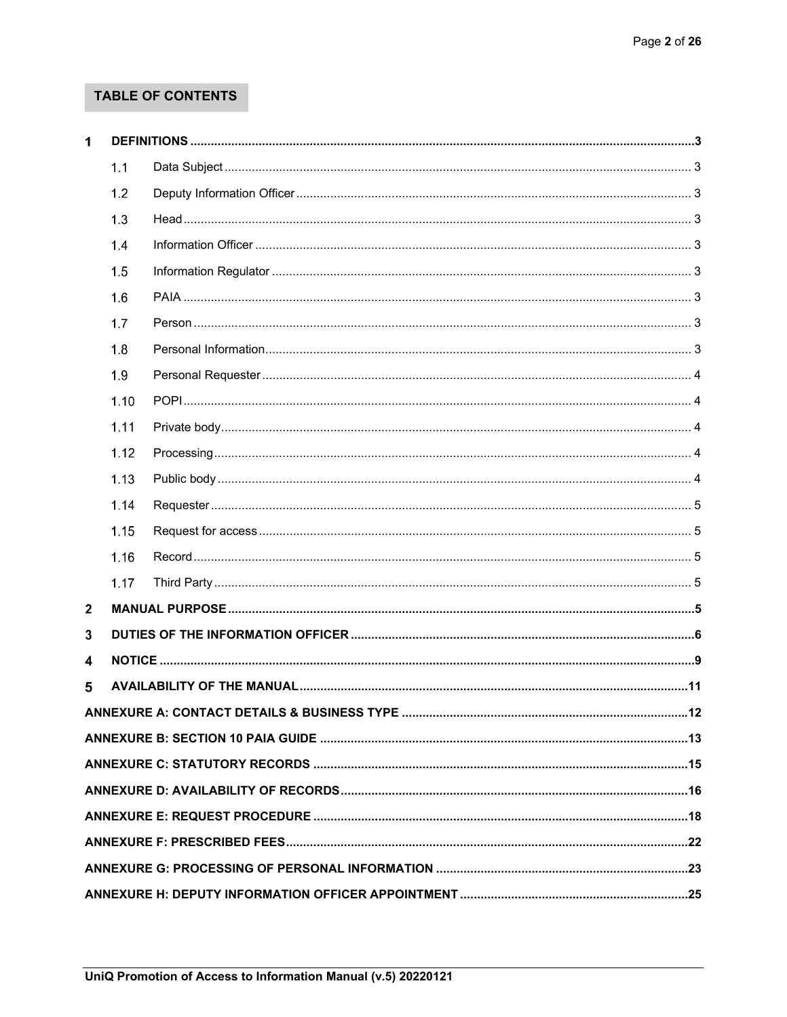# TABLE OF CONTENTS

| 1            |      |                                                                              |  |
|--------------|------|------------------------------------------------------------------------------|--|
|              | 1.1  |                                                                              |  |
|              | 1.2  |                                                                              |  |
|              | 1.3  |                                                                              |  |
|              | 1.4  |                                                                              |  |
|              | 1.5  |                                                                              |  |
|              | 1.6  |                                                                              |  |
|              | 1.7  |                                                                              |  |
|              | 1.8  |                                                                              |  |
|              | 1.9  |                                                                              |  |
|              | 1.10 |                                                                              |  |
|              | 1.11 |                                                                              |  |
|              | 1.12 |                                                                              |  |
|              | 1.13 |                                                                              |  |
|              | 1.14 |                                                                              |  |
|              | 1.15 |                                                                              |  |
|              | 1.16 |                                                                              |  |
|              | 1.17 |                                                                              |  |
| $\mathbf{2}$ |      |                                                                              |  |
| 3            |      |                                                                              |  |
| 4            |      |                                                                              |  |
| 5            |      |                                                                              |  |
|              |      | ANNEXURE A: CONTACT DETAILS & BUSINESS TYPE ………………………………………………………………………………12 |  |
|              |      |                                                                              |  |
|              |      |                                                                              |  |
|              |      |                                                                              |  |
|              |      |                                                                              |  |
|              |      |                                                                              |  |
|              |      |                                                                              |  |
|              |      |                                                                              |  |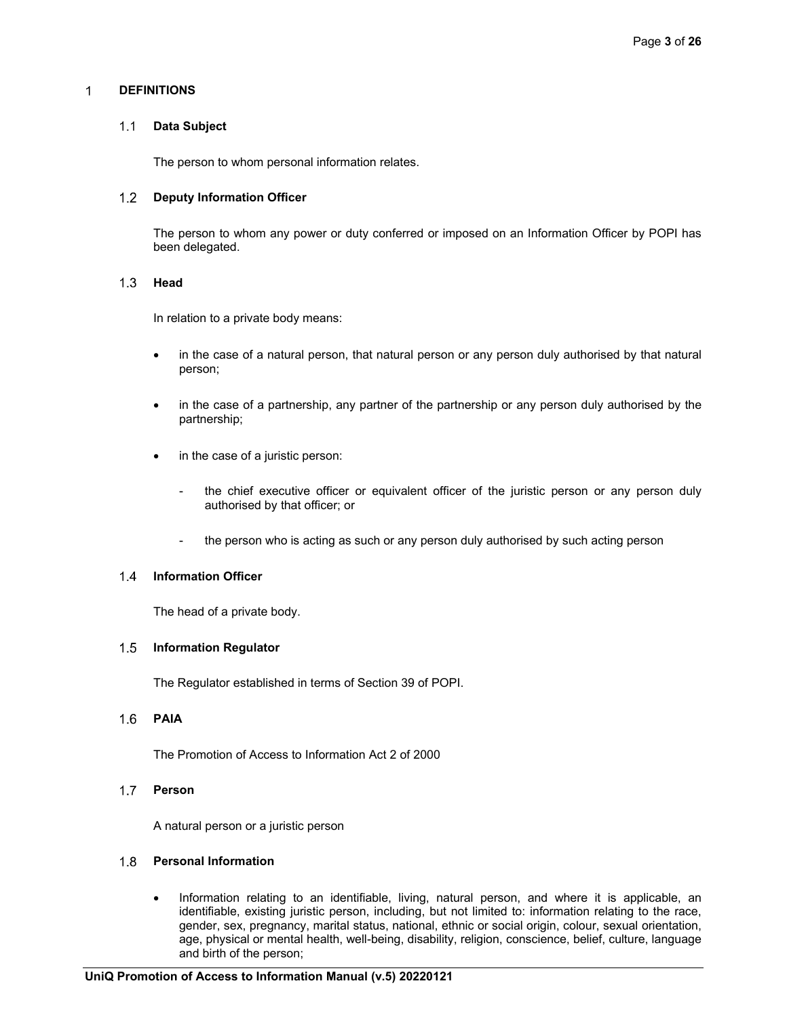#### $\mathbf{1}$ **DEFINITIONS**

#### $1.1$ **Data Subject**

The person to whom personal information relates.

#### $1.2$ **Deputy Information Officer**

The person to whom any power or duty conferred or imposed on an Information Officer by POPI has been delegated.

#### $1.3$ **Head**

In relation to a private body means:

- in the case of a natural person, that natural person or any person duly authorised by that natural person;
- in the case of a partnership, any partner of the partnership or any person duly authorised by the partnership;
- in the case of a juristic person:
	- the chief executive officer or equivalent officer of the juristic person or any person duly authorised by that officer; or
	- the person who is acting as such or any person duly authorised by such acting person

#### $1.4$ **Information Officer**

The head of a private body.

#### $1.5$ **Information Regulator**

The Regulator established in terms of Section 39 of POPI.

#### $1.6$ **PAIA**

The Promotion of Access to Information Act 2 of 2000

#### $1.7$ **Person**

A natural person or a juristic person

## **Personal Information**

 Information relating to an identifiable, living, natural person, and where it is applicable, an identifiable, existing juristic person, including, but not limited to: information relating to the race, gender, sex, pregnancy, marital status, national, ethnic or social origin, colour, sexual orientation, age, physical or mental health, well-being, disability, religion, conscience, belief, culture, language and birth of the person;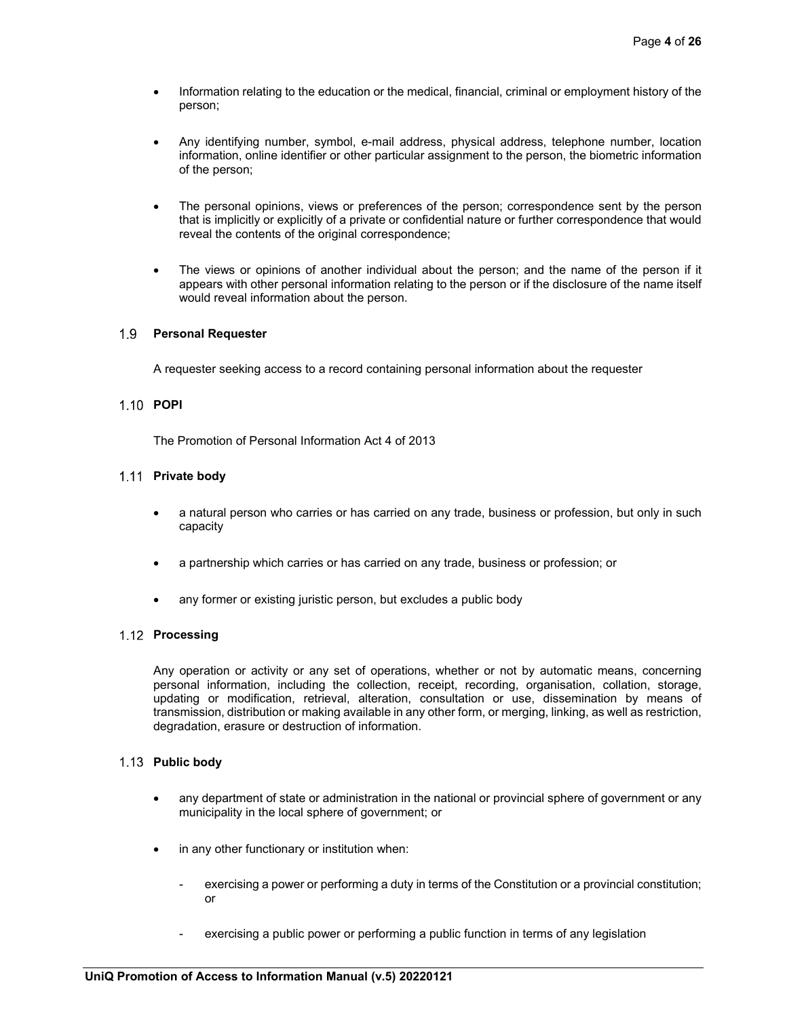- Information relating to the education or the medical, financial, criminal or employment history of the person;
- Any identifying number, symbol, e-mail address, physical address, telephone number, location information, online identifier or other particular assignment to the person, the biometric information of the person;
- The personal opinions, views or preferences of the person; correspondence sent by the person that is implicitly or explicitly of a private or confidential nature or further correspondence that would reveal the contents of the original correspondence;
- The views or opinions of another individual about the person; and the name of the person if it appears with other personal information relating to the person or if the disclosure of the name itself would reveal information about the person.

### **Personal Requester**

A requester seeking access to a record containing personal information about the requester

### **POPI**

The Promotion of Personal Information Act 4 of 2013

### **Private body**

- a natural person who carries or has carried on any trade, business or profession, but only in such capacity
- a partnership which carries or has carried on any trade, business or profession; or
- any former or existing juristic person, but excludes a public body

### 1.12 **Processing**

Any operation or activity or any set of operations, whether or not by automatic means, concerning personal information, including the collection, receipt, recording, organisation, collation, storage, updating or modification, retrieval, alteration, consultation or use, dissemination by means of transmission, distribution or making available in any other form, or merging, linking, as well as restriction, degradation, erasure or destruction of information.

### **Public body**

- any department of state or administration in the national or provincial sphere of government or any municipality in the local sphere of government; or
- in any other functionary or institution when:
	- exercising a power or performing a duty in terms of the Constitution or a provincial constitution; or
	- exercising a public power or performing a public function in terms of any legislation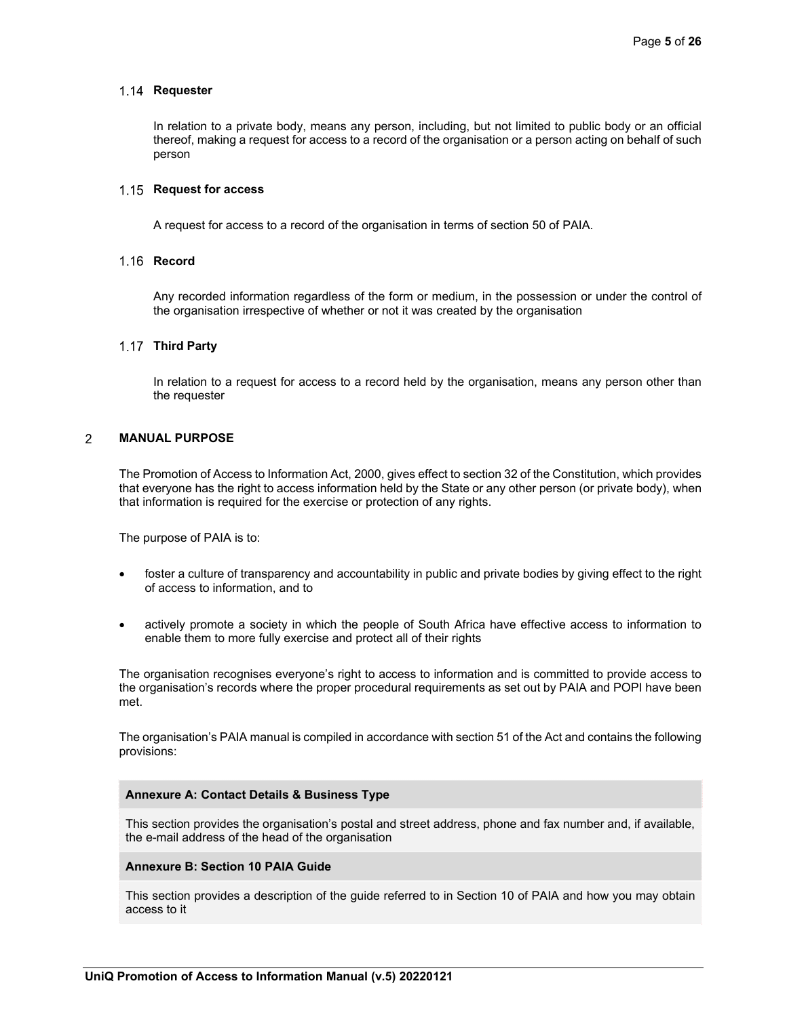#### 1.14 Requester

In relation to a private body, means any person, including, but not limited to public body or an official thereof, making a request for access to a record of the organisation or a person acting on behalf of such person

#### **Request for access**

A request for access to a record of the organisation in terms of section 50 of PAIA.

#### 1.16 Record

Any recorded information regardless of the form or medium, in the possession or under the control of the organisation irrespective of whether or not it was created by the organisation

### **Third Party**

In relation to a request for access to a record held by the organisation, means any person other than the requester

#### $\overline{2}$ **MANUAL PURPOSE**

The Promotion of Access to Information Act, 2000, gives effect to section 32 of the Constitution, which provides that everyone has the right to access information held by the State or any other person (or private body), when that information is required for the exercise or protection of any rights.

The purpose of PAIA is to:

- foster a culture of transparency and accountability in public and private bodies by giving effect to the right of access to information, and to
- actively promote a society in which the people of South Africa have effective access to information to enable them to more fully exercise and protect all of their rights

The organisation recognises everyone's right to access to information and is committed to provide access to the organisation's records where the proper procedural requirements as set out by PAIA and POPI have been met.

The organisation's PAIA manual is compiled in accordance with section 51 of the Act and contains the following provisions:

#### **Annexure A: Contact Details & Business Type**

This section provides the organisation's postal and street address, phone and fax number and, if available, the e-mail address of the head of the organisation

#### **Annexure B: Section 10 PAIA Guide**

This section provides a description of the guide referred to in Section 10 of PAIA and how you may obtain access to it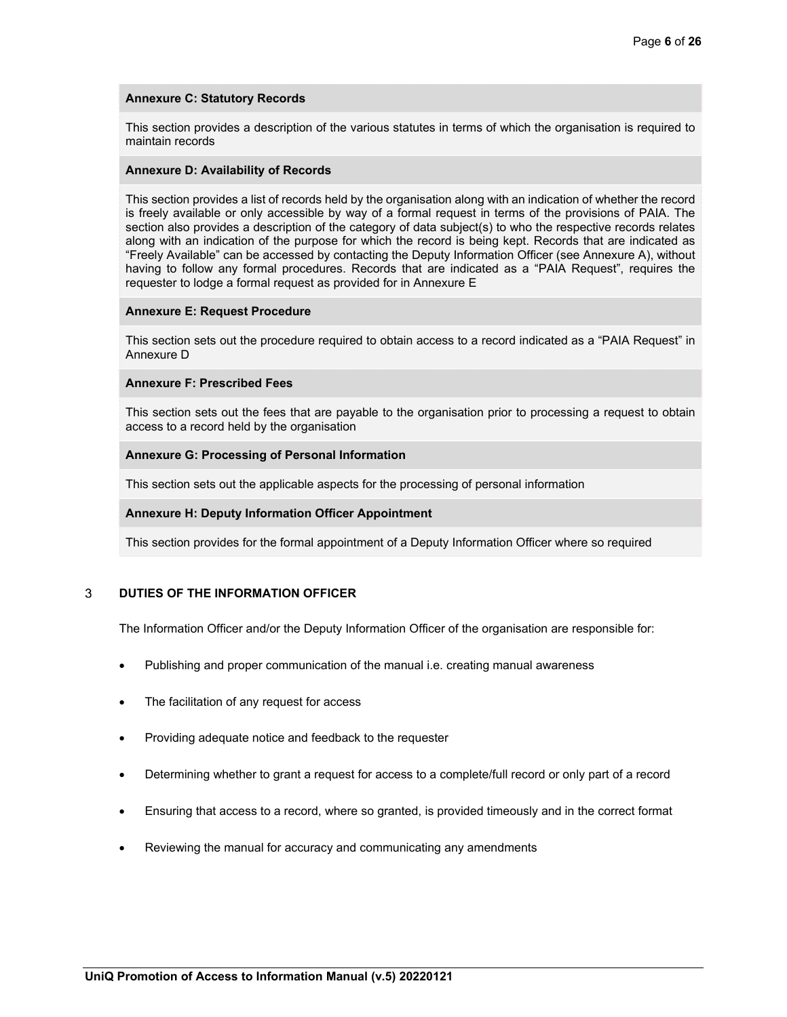# **Annexure C: Statutory Records**

This section provides a description of the various statutes in terms of which the organisation is required to maintain records

#### **Annexure D: Availability of Records**

This section provides a list of records held by the organisation along with an indication of whether the record is freely available or only accessible by way of a formal request in terms of the provisions of PAIA. The section also provides a description of the category of data subject(s) to who the respective records relates along with an indication of the purpose for which the record is being kept. Records that are indicated as "Freely Available" can be accessed by contacting the Deputy Information Officer (see Annexure A), without having to follow any formal procedures. Records that are indicated as a "PAIA Request", requires the requester to lodge a formal request as provided for in Annexure E

### **Annexure E: Request Procedure**

This section sets out the procedure required to obtain access to a record indicated as a "PAIA Request" in Annexure D

#### **Annexure F: Prescribed Fees**

This section sets out the fees that are payable to the organisation prior to processing a request to obtain access to a record held by the organisation

### **Annexure G: Processing of Personal Information**

This section sets out the applicable aspects for the processing of personal information

### **Annexure H: Deputy Information Officer Appointment**

This section provides for the formal appointment of a Deputy Information Officer where so required

#### 3 **DUTIES OF THE INFORMATION OFFICER**

The Information Officer and/or the Deputy Information Officer of the organisation are responsible for:

- Publishing and proper communication of the manual i.e. creating manual awareness
- The facilitation of any request for access
- Providing adequate notice and feedback to the requester
- Determining whether to grant a request for access to a complete/full record or only part of a record
- Ensuring that access to a record, where so granted, is provided timeously and in the correct format
- Reviewing the manual for accuracy and communicating any amendments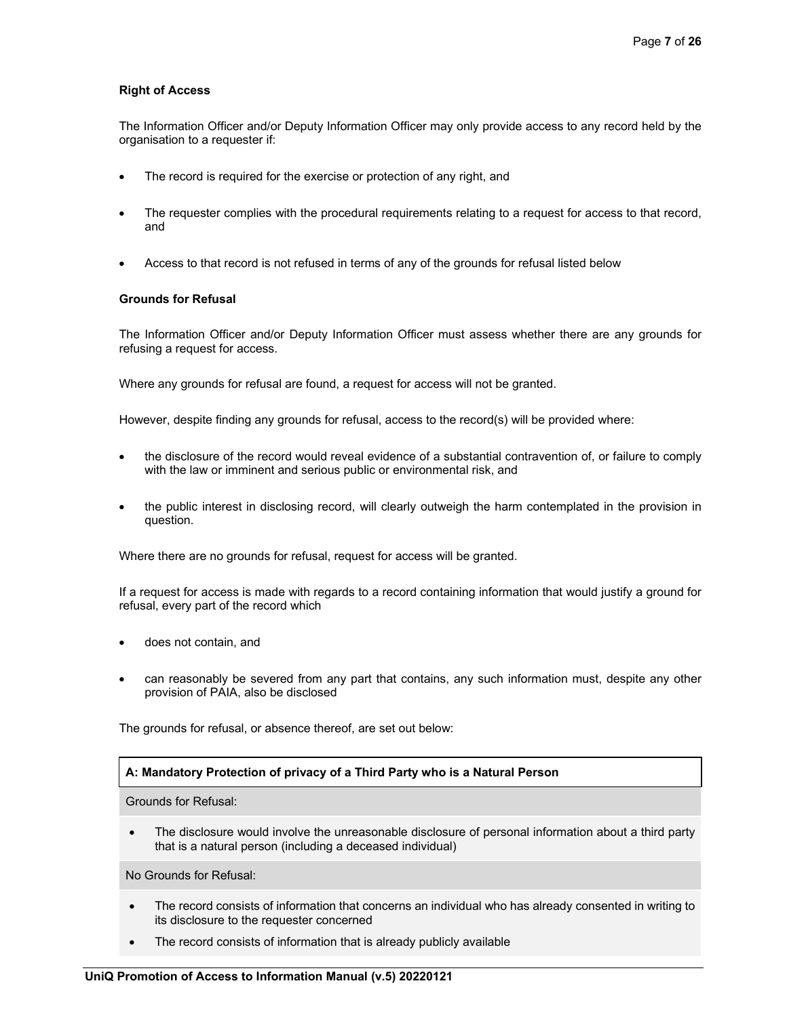### **Right of Access**

The Information Officer and/or Deputy Information Officer may only provide access to any record held by the organisation to a requester if:

- The record is required for the exercise or protection of any right, and
- The requester complies with the procedural requirements relating to a request for access to that record, and
- Access to that record is not refused in terms of any of the grounds for refusal listed below

### **Grounds for Refusal**

The Information Officer and/or Deputy Information Officer must assess whether there are any grounds for refusing a request for access.

Where any grounds for refusal are found, a request for access will not be granted.

However, despite finding any grounds for refusal, access to the record(s) will be provided where:

- the disclosure of the record would reveal evidence of a substantial contravention of, or failure to comply with the law or imminent and serious public or environmental risk, and
- the public interest in disclosing record, will clearly outweigh the harm contemplated in the provision in question.

Where there are no grounds for refusal, request for access will be granted.

If a request for access is made with regards to a record containing information that would justify a ground for refusal, every part of the record which

- does not contain, and
- can reasonably be severed from any part that contains, any such information must, despite any other provision of PAIA, also be disclosed

The grounds for refusal, or absence thereof, are set out below:

### **A: Mandatory Protection of privacy of a Third Party who is a Natural Person**

Grounds for Refusal:

 The disclosure would involve the unreasonable disclosure of personal information about a third party that is a natural person (including a deceased individual)

No Grounds for Refusal:

- The record consists of information that concerns an individual who has already consented in writing to its disclosure to the requester concerned
- The record consists of information that is already publicly available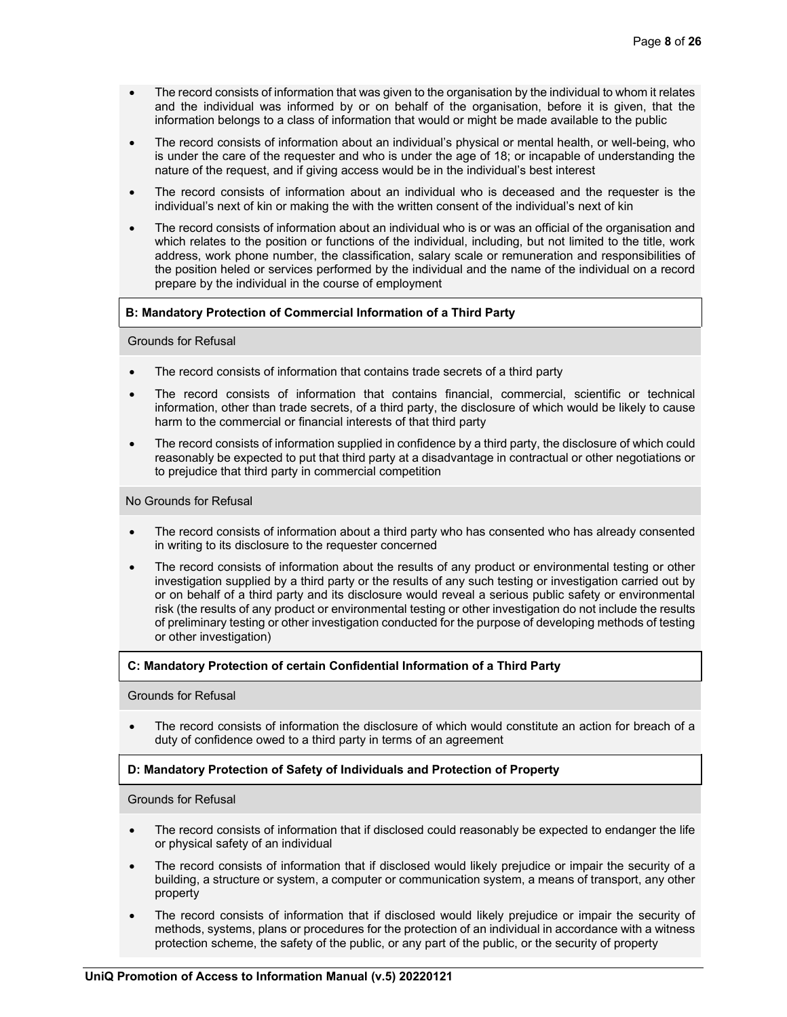- The record consists of information that was given to the organisation by the individual to whom it relates and the individual was informed by or on behalf of the organisation, before it is given, that the information belongs to a class of information that would or might be made available to the public
- The record consists of information about an individual's physical or mental health, or well-being, who is under the care of the requester and who is under the age of 18; or incapable of understanding the nature of the request, and if giving access would be in the individual's best interest
- The record consists of information about an individual who is deceased and the requester is the individual's next of kin or making the with the written consent of the individual's next of kin
- The record consists of information about an individual who is or was an official of the organisation and which relates to the position or functions of the individual, including, but not limited to the title, work address, work phone number, the classification, salary scale or remuneration and responsibilities of the position heled or services performed by the individual and the name of the individual on a record prepare by the individual in the course of employment

### **B: Mandatory Protection of Commercial Information of a Third Party**

### Grounds for Refusal

- The record consists of information that contains trade secrets of a third party
- The record consists of information that contains financial, commercial, scientific or technical information, other than trade secrets, of a third party, the disclosure of which would be likely to cause harm to the commercial or financial interests of that third party
- The record consists of information supplied in confidence by a third party, the disclosure of which could reasonably be expected to put that third party at a disadvantage in contractual or other negotiations or to prejudice that third party in commercial competition

### No Grounds for Refusal

- The record consists of information about a third party who has consented who has already consented in writing to its disclosure to the requester concerned
- The record consists of information about the results of any product or environmental testing or other investigation supplied by a third party or the results of any such testing or investigation carried out by or on behalf of a third party and its disclosure would reveal a serious public safety or environmental risk (the results of any product or environmental testing or other investigation do not include the results of preliminary testing or other investigation conducted for the purpose of developing methods of testing or other investigation)

### **C: Mandatory Protection of certain Confidential Information of a Third Party**

### Grounds for Refusal

 The record consists of information the disclosure of which would constitute an action for breach of a duty of confidence owed to a third party in terms of an agreement

## **D: Mandatory Protection of Safety of Individuals and Protection of Property**

### Grounds for Refusal

- The record consists of information that if disclosed could reasonably be expected to endanger the life or physical safety of an individual
- The record consists of information that if disclosed would likely prejudice or impair the security of a building, a structure or system, a computer or communication system, a means of transport, any other property
- The record consists of information that if disclosed would likely prejudice or impair the security of methods, systems, plans or procedures for the protection of an individual in accordance with a witness protection scheme, the safety of the public, or any part of the public, or the security of property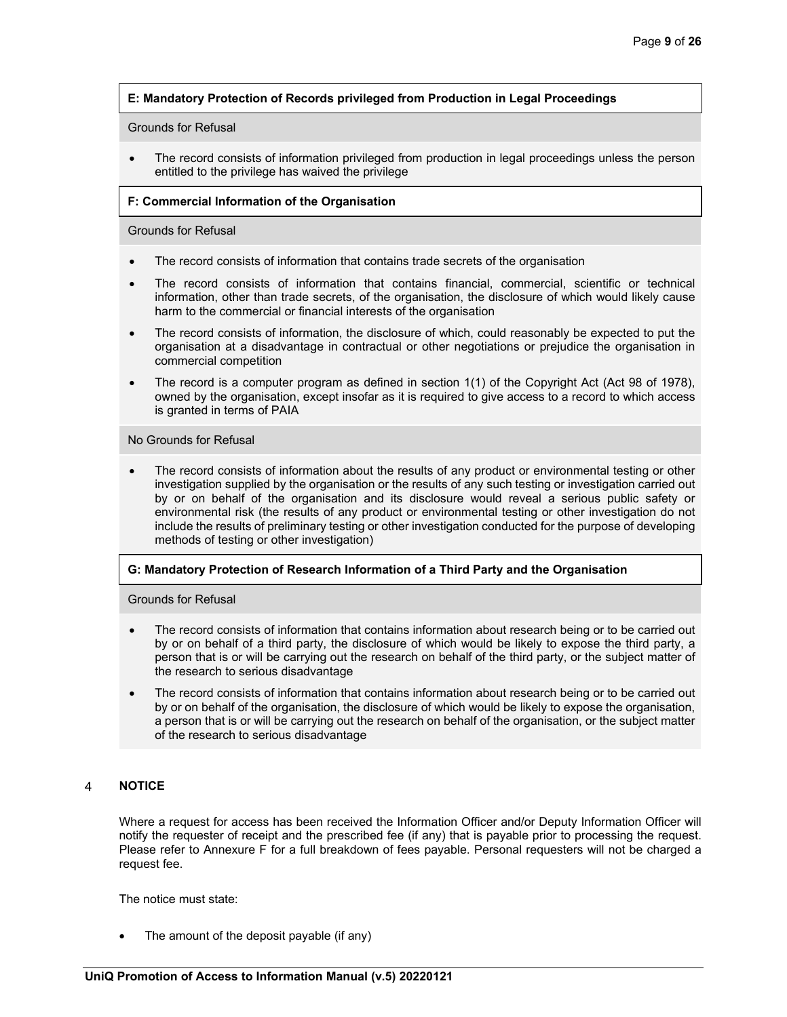# **E: Mandatory Protection of Records privileged from Production in Legal Proceedings**

### Grounds for Refusal

 The record consists of information privileged from production in legal proceedings unless the person entitled to the privilege has waived the privilege

### **F: Commercial Information of the Organisation**

### Grounds for Refusal

- The record consists of information that contains trade secrets of the organisation
- The record consists of information that contains financial, commercial, scientific or technical information, other than trade secrets, of the organisation, the disclosure of which would likely cause harm to the commercial or financial interests of the organisation
- The record consists of information, the disclosure of which, could reasonably be expected to put the organisation at a disadvantage in contractual or other negotiations or prejudice the organisation in commercial competition
- The record is a computer program as defined in section 1(1) of the Copyright Act (Act 98 of 1978), owned by the organisation, except insofar as it is required to give access to a record to which access is granted in terms of PAIA

### No Grounds for Refusal

 The record consists of information about the results of any product or environmental testing or other investigation supplied by the organisation or the results of any such testing or investigation carried out by or on behalf of the organisation and its disclosure would reveal a serious public safety or environmental risk (the results of any product or environmental testing or other investigation do not include the results of preliminary testing or other investigation conducted for the purpose of developing methods of testing or other investigation)

## **G: Mandatory Protection of Research Information of a Third Party and the Organisation**

Grounds for Refusal

- The record consists of information that contains information about research being or to be carried out by or on behalf of a third party, the disclosure of which would be likely to expose the third party, a person that is or will be carrying out the research on behalf of the third party, or the subject matter of the research to serious disadvantage
- The record consists of information that contains information about research being or to be carried out by or on behalf of the organisation, the disclosure of which would be likely to expose the organisation, a person that is or will be carrying out the research on behalf of the organisation, or the subject matter of the research to serious disadvantage

#### **NOTICE**   $\boldsymbol{\Lambda}$

Where a request for access has been received the Information Officer and/or Deputy Information Officer will notify the requester of receipt and the prescribed fee (if any) that is payable prior to processing the request. Please refer to Annexure F for a full breakdown of fees payable. Personal requesters will not be charged a request fee.

The notice must state:

The amount of the deposit payable (if any)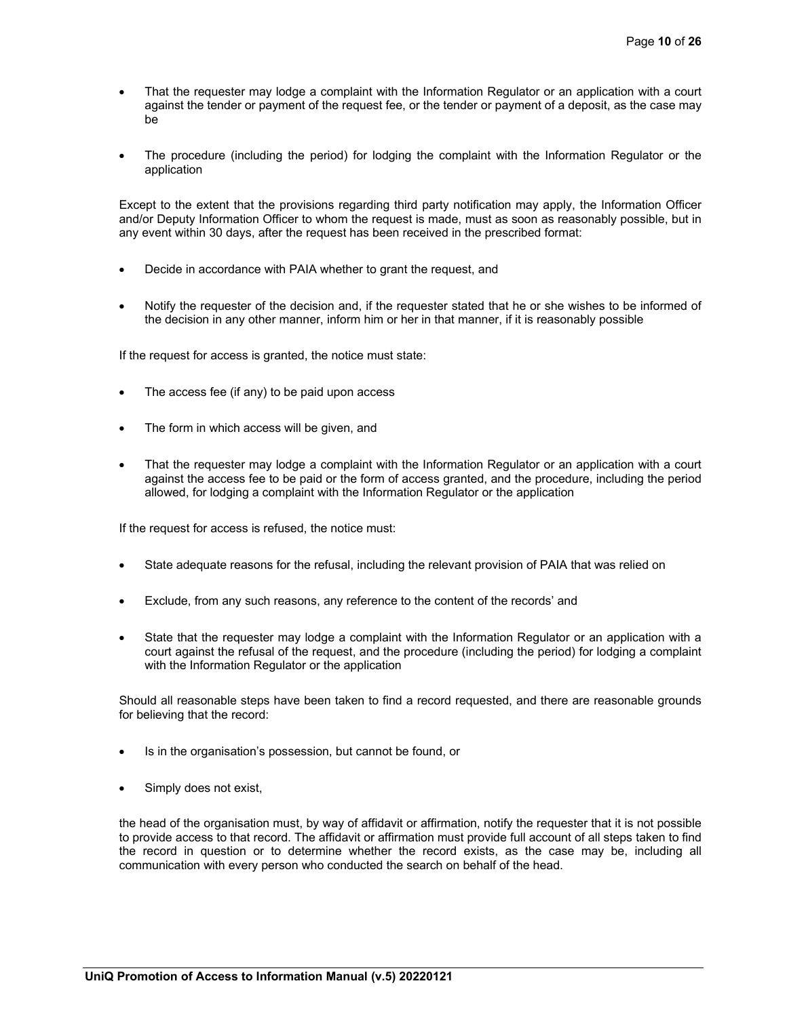- That the requester may lodge a complaint with the Information Regulator or an application with a court against the tender or payment of the request fee, or the tender or payment of a deposit, as the case may be
- The procedure (including the period) for lodging the complaint with the Information Regulator or the application

Except to the extent that the provisions regarding third party notification may apply, the Information Officer and/or Deputy Information Officer to whom the request is made, must as soon as reasonably possible, but in any event within 30 days, after the request has been received in the prescribed format:

- Decide in accordance with PAIA whether to grant the request, and
- Notify the requester of the decision and, if the requester stated that he or she wishes to be informed of the decision in any other manner, inform him or her in that manner, if it is reasonably possible

If the request for access is granted, the notice must state:

- The access fee (if any) to be paid upon access
- The form in which access will be given, and
- That the requester may lodge a complaint with the Information Regulator or an application with a court against the access fee to be paid or the form of access granted, and the procedure, including the period allowed, for lodging a complaint with the Information Regulator or the application

If the request for access is refused, the notice must:

- State adequate reasons for the refusal, including the relevant provision of PAIA that was relied on
- Exclude, from any such reasons, any reference to the content of the records' and
- State that the requester may lodge a complaint with the Information Regulator or an application with a court against the refusal of the request, and the procedure (including the period) for lodging a complaint with the Information Regulator or the application

Should all reasonable steps have been taken to find a record requested, and there are reasonable grounds for believing that the record:

- Is in the organisation's possession, but cannot be found, or
- Simply does not exist,

the head of the organisation must, by way of affidavit or affirmation, notify the requester that it is not possible to provide access to that record. The affidavit or affirmation must provide full account of all steps taken to find the record in question or to determine whether the record exists, as the case may be, including all communication with every person who conducted the search on behalf of the head.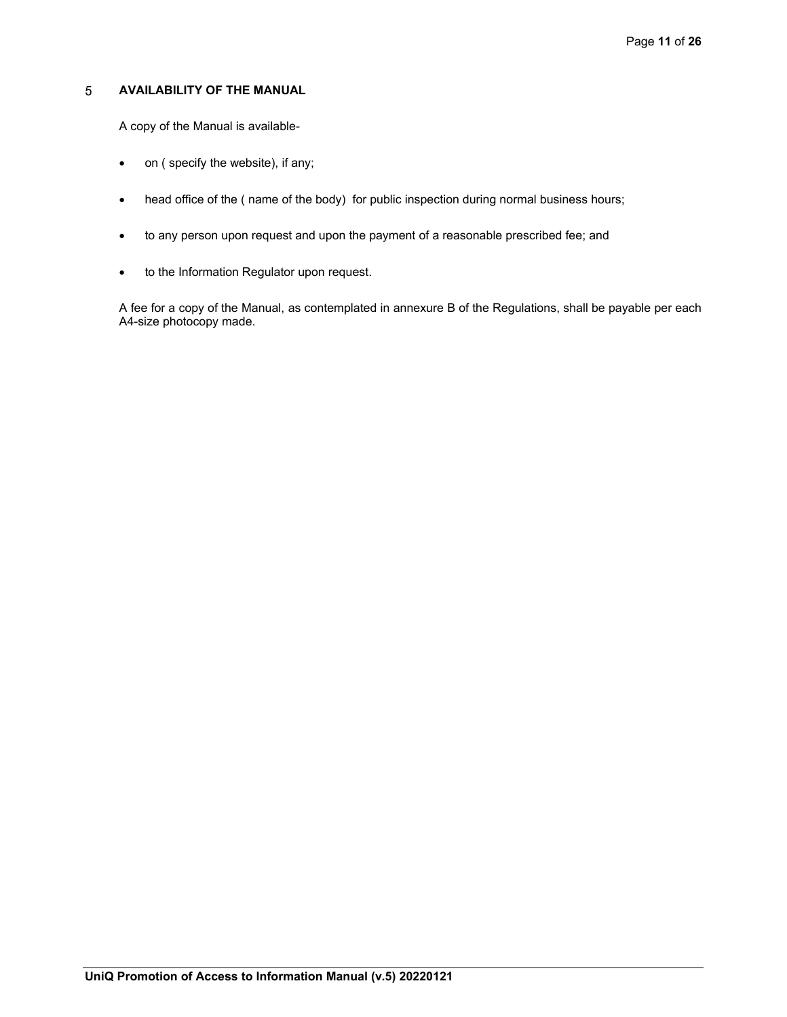#### $5\phantom{.0}$ **AVAILABILITY OF THE MANUAL**

A copy of the Manual is available-

- on ( specify the website), if any;
- head office of the ( name of the body) for public inspection during normal business hours;
- to any person upon request and upon the payment of a reasonable prescribed fee; and
- to the Information Regulator upon request.

A fee for a copy of the Manual, as contemplated in annexure B of the Regulations, shall be payable per each A4-size photocopy made.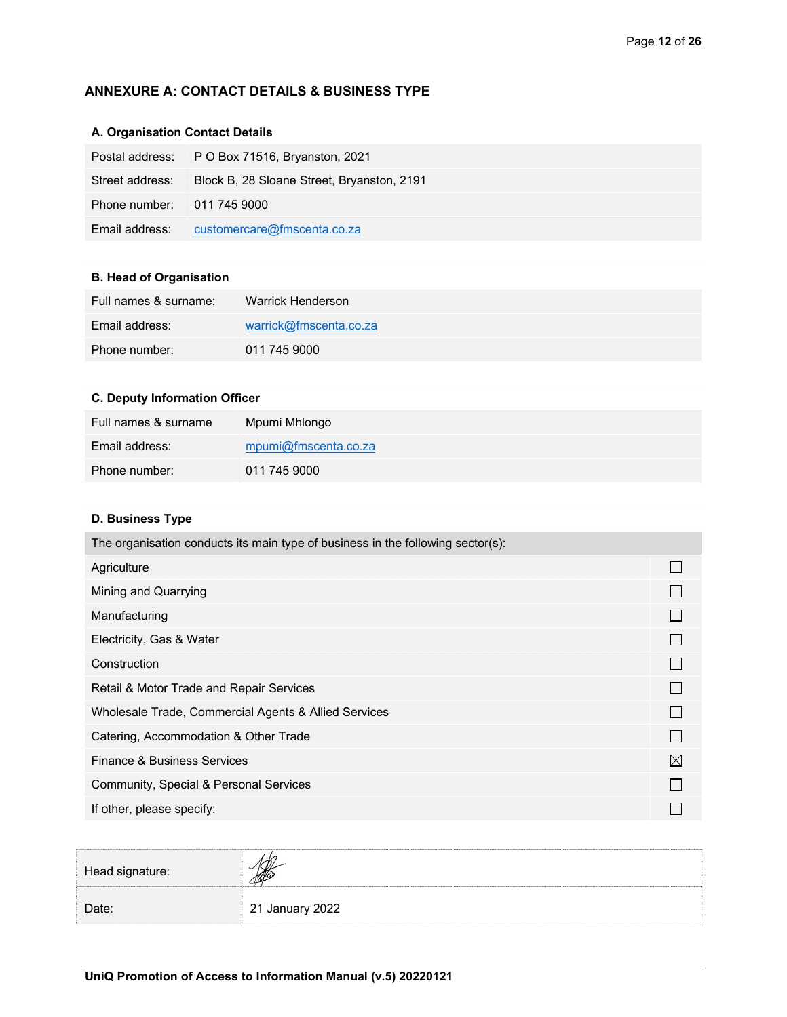# **ANNEXURE A: CONTACT DETAILS & BUSINESS TYPE**

# **A. Organisation Contact Details**

|                            | Postal address: P O Box 71516, Bryanston, 2021 |
|----------------------------|------------------------------------------------|
| Street address:            | Block B, 28 Sloane Street, Bryanston, 2191     |
| Phone number: 011 745 9000 |                                                |
| Email address:             | customercare@fmscenta.co.za                    |

# **B. Head of Organisation**

| Full names & surname: | Warrick Henderson      |
|-----------------------|------------------------|
| Email address:        | warrick@fmscenta.co.za |
| Phone number:         | 011 745 9000           |

# **C. Deputy Information Officer**

| Full names & surname | Mpumi Mhlongo        |
|----------------------|----------------------|
| Email address:       | mpumi@fmscenta.co.za |
| Phone number:        | 011 745 9000         |

# **D. Business Type**

| The organisation conducts its main type of business in the following sector(s): |  |
|---------------------------------------------------------------------------------|--|
| Agriculture                                                                     |  |
| Mining and Quarrying                                                            |  |
| Manufacturing                                                                   |  |
| Electricity, Gas & Water                                                        |  |
| Construction                                                                    |  |
| Retail & Motor Trade and Repair Services                                        |  |
| Wholesale Trade, Commercial Agents & Allied Services                            |  |
| Catering, Accommodation & Other Trade                                           |  |
| Finance & Business Services                                                     |  |
| Community, Special & Personal Services                                          |  |
| If other, please specify:                                                       |  |

| Head signature: |                 |
|-----------------|-----------------|
| Date:           | 21 January 2022 |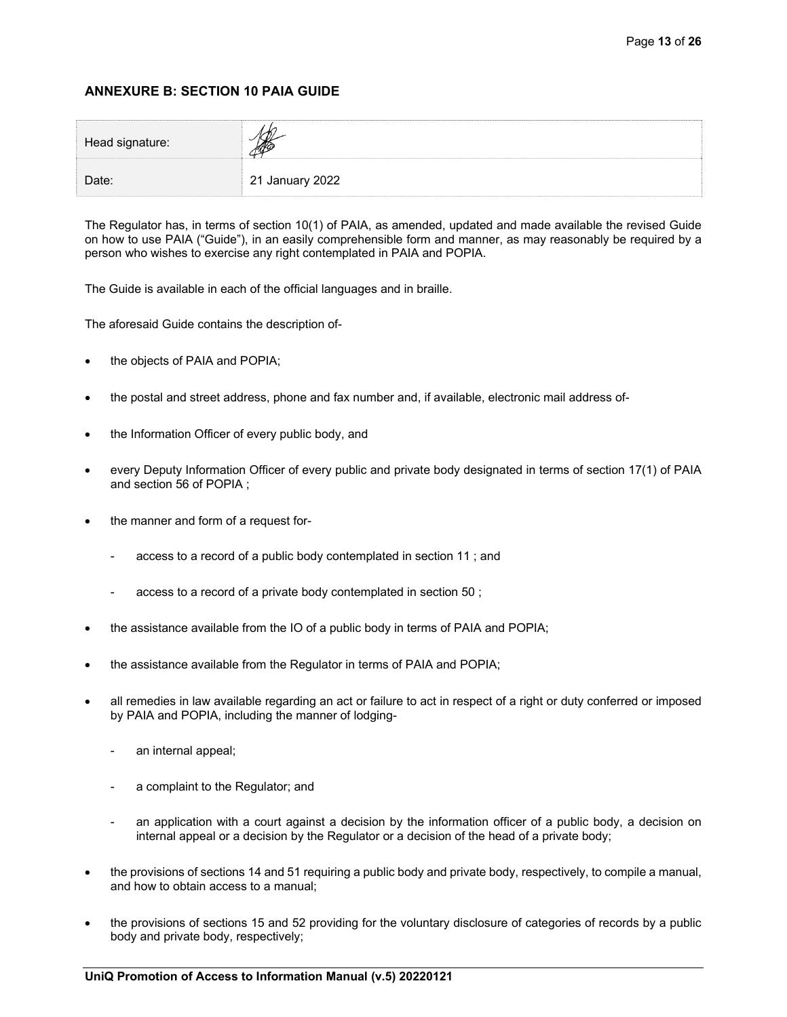# **ANNEXURE B: SECTION 10 PAIA GUIDE**

| Head signature: |                 |  |
|-----------------|-----------------|--|
| Date:           | 21 January 2022 |  |

The Regulator has, in terms of section 10(1) of PAIA, as amended, updated and made available the revised Guide on how to use PAIA ("Guide"), in an easily comprehensible form and manner, as may reasonably be required by a person who wishes to exercise any right contemplated in PAIA and POPIA.

The Guide is available in each of the official languages and in braille.

The aforesaid Guide contains the description of-

- the objects of PAIA and POPIA;
- the postal and street address, phone and fax number and, if available, electronic mail address of-
- the Information Officer of every public body, and
- every Deputy Information Officer of every public and private body designated in terms of section 17(1) of PAIA and section 56 of POPIA ;
- the manner and form of a request for-
	- access to a record of a public body contemplated in section 11 ; and
	- access to a record of a private body contemplated in section 50;
- the assistance available from the IO of a public body in terms of PAIA and POPIA;
- the assistance available from the Regulator in terms of PAIA and POPIA;
- all remedies in law available regarding an act or failure to act in respect of a right or duty conferred or imposed by PAIA and POPIA, including the manner of lodging
	- an internal appeal;
	- a complaint to the Regulator; and
	- an application with a court against a decision by the information officer of a public body, a decision on internal appeal or a decision by the Regulator or a decision of the head of a private body;
- the provisions of sections 14 and 51 requiring a public body and private body, respectively, to compile a manual, and how to obtain access to a manual;
- the provisions of sections 15 and 52 providing for the voluntary disclosure of categories of records by a public body and private body, respectively;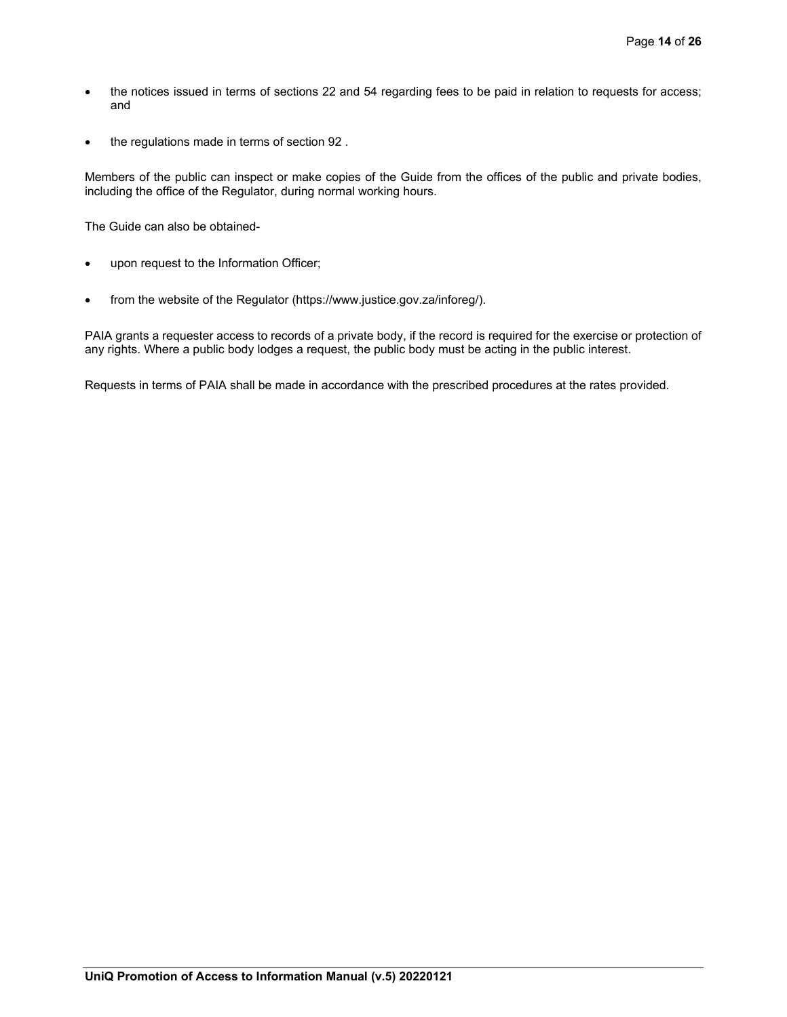- the notices issued in terms of sections 22 and 54 regarding fees to be paid in relation to requests for access; and
- the regulations made in terms of section 92.

Members of the public can inspect or make copies of the Guide from the offices of the public and private bodies, including the office of the Regulator, during normal working hours.

The Guide can also be obtained-

- upon request to the Information Officer;
- from the website of the Regulator (https://www.justice.gov.za/inforeg/).

PAIA grants a requester access to records of a private body, if the record is required for the exercise or protection of any rights. Where a public body lodges a request, the public body must be acting in the public interest.

Requests in terms of PAIA shall be made in accordance with the prescribed procedures at the rates provided.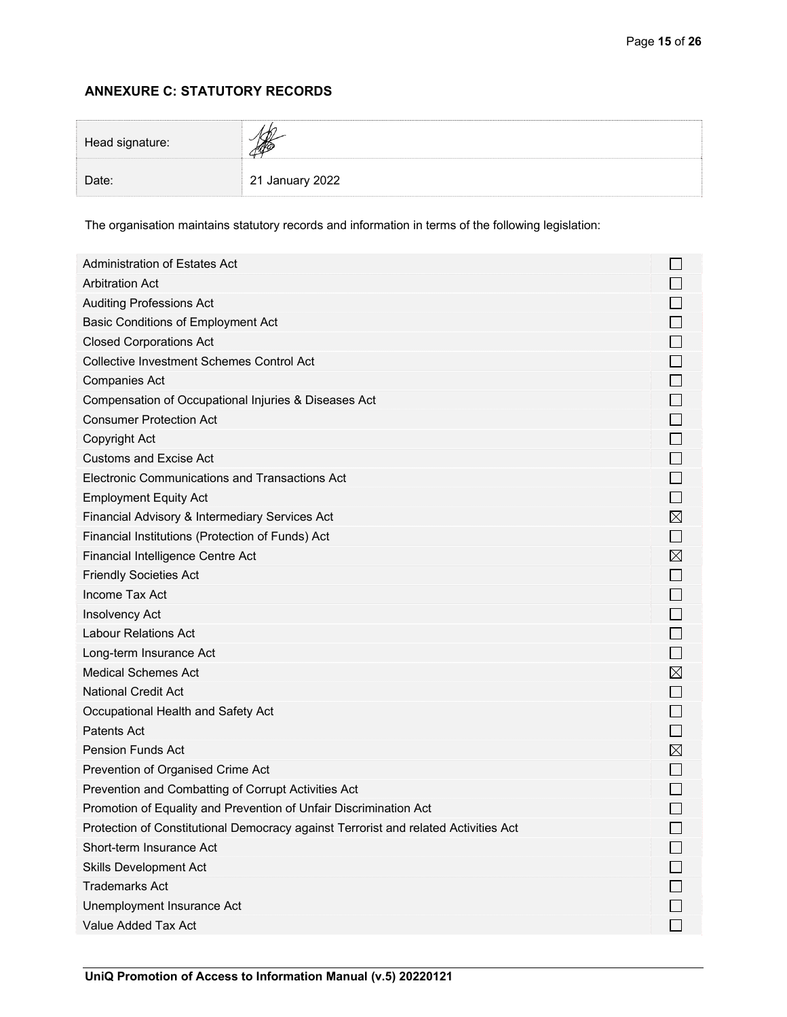# **ANNEXURE C: STATUTORY RECORDS**

| Head signature: |                 |  |
|-----------------|-----------------|--|
| Date:           | 21 January 2022 |  |

The organisation maintains statutory records and information in terms of the following legislation:

| <b>Arbitration Act</b><br>$\Box$<br>$\Box$<br><b>Auditing Professions Act</b><br>$\Box$<br><b>Basic Conditions of Employment Act</b><br>$\Box$<br><b>Closed Corporations Act</b><br>$\Box$<br><b>Collective Investment Schemes Control Act</b><br>$\Box$<br><b>Companies Act</b><br>$\Box$<br>Compensation of Occupational Injuries & Diseases Act<br>$\Box$<br><b>Consumer Protection Act</b><br>$\Box$<br>Copyright Act<br>$\Box$<br><b>Customs and Excise Act</b><br>$\Box$<br>Electronic Communications and Transactions Act<br>$\Box$<br><b>Employment Equity Act</b><br>$\boxtimes$<br>Financial Advisory & Intermediary Services Act<br>$\Box$<br>Financial Institutions (Protection of Funds) Act<br>$\boxtimes$<br>Financial Intelligence Centre Act<br>$\Box$<br><b>Friendly Societies Act</b><br>$\Box$<br>Income Tax Act<br>$\Box$<br>Insolvency Act<br>$\Box$<br><b>Labour Relations Act</b><br>$\Box$<br>Long-term Insurance Act<br>$\boxtimes$<br><b>Medical Schemes Act</b> |
|---------------------------------------------------------------------------------------------------------------------------------------------------------------------------------------------------------------------------------------------------------------------------------------------------------------------------------------------------------------------------------------------------------------------------------------------------------------------------------------------------------------------------------------------------------------------------------------------------------------------------------------------------------------------------------------------------------------------------------------------------------------------------------------------------------------------------------------------------------------------------------------------------------------------------------------------------------------------------------------------|
|                                                                                                                                                                                                                                                                                                                                                                                                                                                                                                                                                                                                                                                                                                                                                                                                                                                                                                                                                                                             |
|                                                                                                                                                                                                                                                                                                                                                                                                                                                                                                                                                                                                                                                                                                                                                                                                                                                                                                                                                                                             |
|                                                                                                                                                                                                                                                                                                                                                                                                                                                                                                                                                                                                                                                                                                                                                                                                                                                                                                                                                                                             |
|                                                                                                                                                                                                                                                                                                                                                                                                                                                                                                                                                                                                                                                                                                                                                                                                                                                                                                                                                                                             |
|                                                                                                                                                                                                                                                                                                                                                                                                                                                                                                                                                                                                                                                                                                                                                                                                                                                                                                                                                                                             |
|                                                                                                                                                                                                                                                                                                                                                                                                                                                                                                                                                                                                                                                                                                                                                                                                                                                                                                                                                                                             |
|                                                                                                                                                                                                                                                                                                                                                                                                                                                                                                                                                                                                                                                                                                                                                                                                                                                                                                                                                                                             |
|                                                                                                                                                                                                                                                                                                                                                                                                                                                                                                                                                                                                                                                                                                                                                                                                                                                                                                                                                                                             |
|                                                                                                                                                                                                                                                                                                                                                                                                                                                                                                                                                                                                                                                                                                                                                                                                                                                                                                                                                                                             |
|                                                                                                                                                                                                                                                                                                                                                                                                                                                                                                                                                                                                                                                                                                                                                                                                                                                                                                                                                                                             |
|                                                                                                                                                                                                                                                                                                                                                                                                                                                                                                                                                                                                                                                                                                                                                                                                                                                                                                                                                                                             |
|                                                                                                                                                                                                                                                                                                                                                                                                                                                                                                                                                                                                                                                                                                                                                                                                                                                                                                                                                                                             |
|                                                                                                                                                                                                                                                                                                                                                                                                                                                                                                                                                                                                                                                                                                                                                                                                                                                                                                                                                                                             |
|                                                                                                                                                                                                                                                                                                                                                                                                                                                                                                                                                                                                                                                                                                                                                                                                                                                                                                                                                                                             |
|                                                                                                                                                                                                                                                                                                                                                                                                                                                                                                                                                                                                                                                                                                                                                                                                                                                                                                                                                                                             |
|                                                                                                                                                                                                                                                                                                                                                                                                                                                                                                                                                                                                                                                                                                                                                                                                                                                                                                                                                                                             |
|                                                                                                                                                                                                                                                                                                                                                                                                                                                                                                                                                                                                                                                                                                                                                                                                                                                                                                                                                                                             |
|                                                                                                                                                                                                                                                                                                                                                                                                                                                                                                                                                                                                                                                                                                                                                                                                                                                                                                                                                                                             |
|                                                                                                                                                                                                                                                                                                                                                                                                                                                                                                                                                                                                                                                                                                                                                                                                                                                                                                                                                                                             |
|                                                                                                                                                                                                                                                                                                                                                                                                                                                                                                                                                                                                                                                                                                                                                                                                                                                                                                                                                                                             |
|                                                                                                                                                                                                                                                                                                                                                                                                                                                                                                                                                                                                                                                                                                                                                                                                                                                                                                                                                                                             |
| $\Box$<br><b>National Credit Act</b>                                                                                                                                                                                                                                                                                                                                                                                                                                                                                                                                                                                                                                                                                                                                                                                                                                                                                                                                                        |
| $\Box$<br>Occupational Health and Safety Act                                                                                                                                                                                                                                                                                                                                                                                                                                                                                                                                                                                                                                                                                                                                                                                                                                                                                                                                                |
| $\Box$<br>Patents Act                                                                                                                                                                                                                                                                                                                                                                                                                                                                                                                                                                                                                                                                                                                                                                                                                                                                                                                                                                       |
| $\boxtimes$<br><b>Pension Funds Act</b>                                                                                                                                                                                                                                                                                                                                                                                                                                                                                                                                                                                                                                                                                                                                                                                                                                                                                                                                                     |
| $\Box$<br>Prevention of Organised Crime Act                                                                                                                                                                                                                                                                                                                                                                                                                                                                                                                                                                                                                                                                                                                                                                                                                                                                                                                                                 |
| $\Box$<br>Prevention and Combatting of Corrupt Activities Act                                                                                                                                                                                                                                                                                                                                                                                                                                                                                                                                                                                                                                                                                                                                                                                                                                                                                                                               |
| $\Box$<br>Promotion of Equality and Prevention of Unfair Discrimination Act                                                                                                                                                                                                                                                                                                                                                                                                                                                                                                                                                                                                                                                                                                                                                                                                                                                                                                                 |
| $\Box$<br>Protection of Constitutional Democracy against Terrorist and related Activities Act                                                                                                                                                                                                                                                                                                                                                                                                                                                                                                                                                                                                                                                                                                                                                                                                                                                                                               |
| Short-term Insurance Act                                                                                                                                                                                                                                                                                                                                                                                                                                                                                                                                                                                                                                                                                                                                                                                                                                                                                                                                                                    |
| <b>Skills Development Act</b>                                                                                                                                                                                                                                                                                                                                                                                                                                                                                                                                                                                                                                                                                                                                                                                                                                                                                                                                                               |
| <b>Trademarks Act</b>                                                                                                                                                                                                                                                                                                                                                                                                                                                                                                                                                                                                                                                                                                                                                                                                                                                                                                                                                                       |
| Unemployment Insurance Act                                                                                                                                                                                                                                                                                                                                                                                                                                                                                                                                                                                                                                                                                                                                                                                                                                                                                                                                                                  |
| $\Box$<br>Value Added Tax Act                                                                                                                                                                                                                                                                                                                                                                                                                                                                                                                                                                                                                                                                                                                                                                                                                                                                                                                                                               |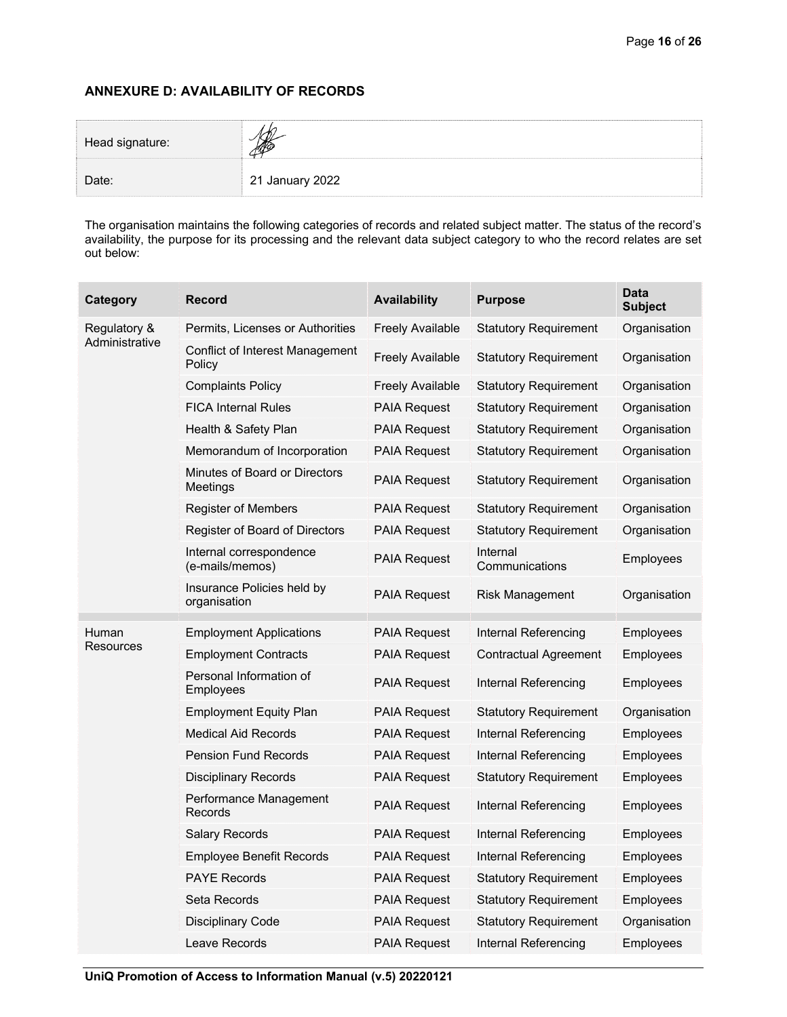# **ANNEXURE D: AVAILABILITY OF RECORDS**

| Head signature: |                 |
|-----------------|-----------------|
| Date:           | 21 January 2022 |

The organisation maintains the following categories of records and related subject matter. The status of the record's availability, the purpose for its processing and the relevant data subject category to who the record relates are set out below:

| Category       | <b>Record</b>                              | <b>Availability</b>     | <b>Purpose</b>               | <b>Data</b><br><b>Subject</b> |
|----------------|--------------------------------------------|-------------------------|------------------------------|-------------------------------|
| Regulatory &   | Permits, Licenses or Authorities           | <b>Freely Available</b> | <b>Statutory Requirement</b> | Organisation                  |
| Administrative | Conflict of Interest Management<br>Policy  | <b>Freely Available</b> | <b>Statutory Requirement</b> | Organisation                  |
|                | <b>Complaints Policy</b>                   | <b>Freely Available</b> | <b>Statutory Requirement</b> | Organisation                  |
|                | <b>FICA Internal Rules</b>                 | <b>PAIA Request</b>     | <b>Statutory Requirement</b> | Organisation                  |
|                | Health & Safety Plan                       | <b>PAIA Request</b>     | <b>Statutory Requirement</b> | Organisation                  |
|                | Memorandum of Incorporation                | <b>PAIA Request</b>     | <b>Statutory Requirement</b> | Organisation                  |
|                | Minutes of Board or Directors<br>Meetings  | <b>PAIA Request</b>     | <b>Statutory Requirement</b> | Organisation                  |
|                | <b>Register of Members</b>                 | <b>PAIA Request</b>     | <b>Statutory Requirement</b> | Organisation                  |
|                | Register of Board of Directors             | <b>PAIA Request</b>     | <b>Statutory Requirement</b> | Organisation                  |
|                | Internal correspondence<br>(e-mails/memos) | <b>PAIA Request</b>     | Internal<br>Communications   | Employees                     |
|                | Insurance Policies held by<br>organisation | <b>PAIA Request</b>     | Risk Management              | Organisation                  |
| Human          | <b>Employment Applications</b>             | <b>PAIA Request</b>     | Internal Referencing         | Employees                     |
| Resources      | <b>Employment Contracts</b>                | <b>PAIA Request</b>     | <b>Contractual Agreement</b> | Employees                     |
|                | Personal Information of<br>Employees       | <b>PAIA Request</b>     | Internal Referencing         | Employees                     |
|                | <b>Employment Equity Plan</b>              | <b>PAIA Request</b>     | <b>Statutory Requirement</b> | Organisation                  |
|                | <b>Medical Aid Records</b>                 | <b>PAIA Request</b>     | Internal Referencing         | Employees                     |
|                | <b>Pension Fund Records</b>                | <b>PAIA Request</b>     | Internal Referencing         | Employees                     |
|                | <b>Disciplinary Records</b>                | <b>PAIA Request</b>     | <b>Statutory Requirement</b> | Employees                     |
|                | Performance Management<br>Records          | <b>PAIA Request</b>     | Internal Referencing         | Employees                     |
|                | <b>Salary Records</b>                      | <b>PAIA Request</b>     | Internal Referencing         | Employees                     |
|                | <b>Employee Benefit Records</b>            | <b>PAIA Request</b>     | Internal Referencing         | Employees                     |
|                | <b>PAYE Records</b>                        | <b>PAIA Request</b>     | <b>Statutory Requirement</b> | Employees                     |
|                | Seta Records                               | <b>PAIA Request</b>     | <b>Statutory Requirement</b> | Employees                     |
|                | <b>Disciplinary Code</b>                   | <b>PAIA Request</b>     | <b>Statutory Requirement</b> | Organisation                  |
|                | Leave Records                              | <b>PAIA Request</b>     | Internal Referencing         | Employees                     |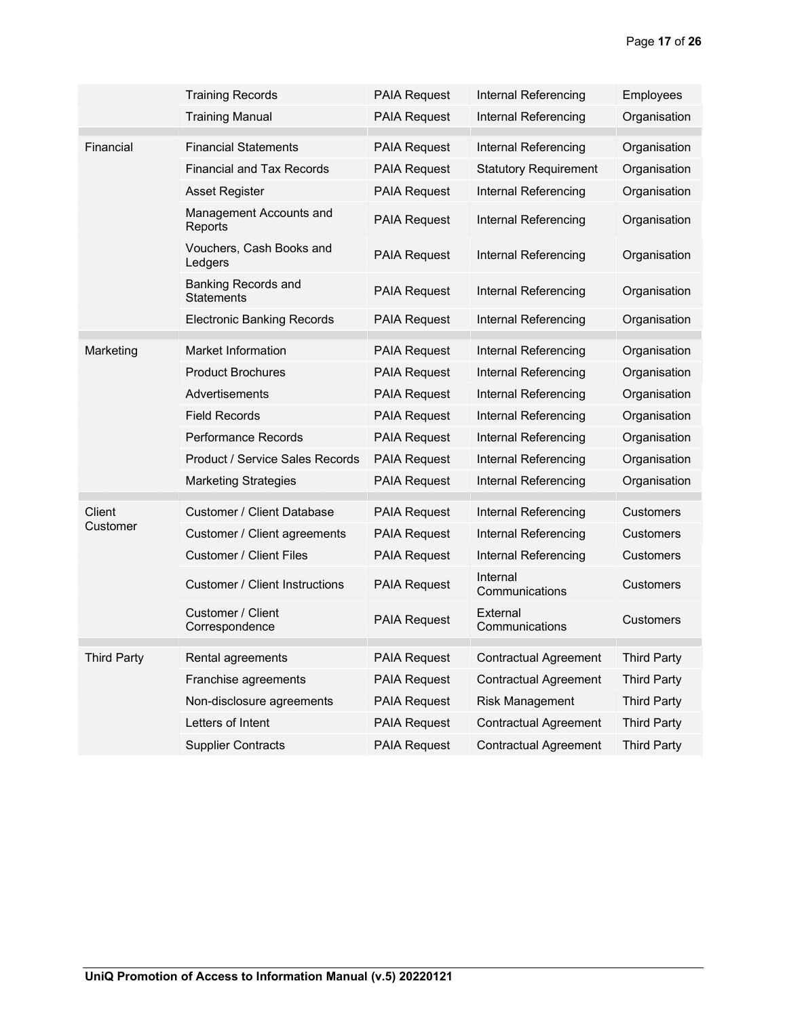|                    | <b>Training Records</b>                  | <b>PAIA Request</b> | Internal Referencing         | Employees          |
|--------------------|------------------------------------------|---------------------|------------------------------|--------------------|
|                    | <b>Training Manual</b>                   | <b>PAIA Request</b> | Internal Referencing         | Organisation       |
| Financial          | Financial Statements                     | <b>PAIA Request</b> | Internal Referencing         | Organisation       |
|                    | <b>Financial and Tax Records</b>         | <b>PAIA Request</b> | <b>Statutory Requirement</b> | Organisation       |
|                    | <b>Asset Register</b>                    | <b>PAIA Request</b> | Internal Referencing         | Organisation       |
|                    | Management Accounts and<br>Reports       | <b>PAIA Request</b> | Internal Referencing         | Organisation       |
|                    | Vouchers, Cash Books and<br>Ledgers      | <b>PAIA Request</b> | Internal Referencing         | Organisation       |
|                    | <b>Banking Records and</b><br>Statements | <b>PAIA Request</b> | Internal Referencing         | Organisation       |
|                    | <b>Electronic Banking Records</b>        | <b>PAIA Request</b> | Internal Referencing         | Organisation       |
| Marketing          | Market Information                       | <b>PAIA Request</b> | Internal Referencing         | Organisation       |
|                    | <b>Product Brochures</b>                 | <b>PAIA Request</b> | Internal Referencing         | Organisation       |
|                    | Advertisements                           | <b>PAIA Request</b> | Internal Referencing         | Organisation       |
|                    | Field Records                            | <b>PAIA Request</b> | Internal Referencing         | Organisation       |
|                    | Performance Records                      | <b>PAIA Request</b> | Internal Referencing         | Organisation       |
|                    | <b>Product / Service Sales Records</b>   | <b>PAIA Request</b> | Internal Referencing         | Organisation       |
|                    | Marketing Strategies                     | <b>PAIA Request</b> | Internal Referencing         | Organisation       |
| Client             | Customer / Client Database               | <b>PAIA Request</b> | Internal Referencing         | Customers          |
| Customer           | Customer / Client agreements             | <b>PAIA Request</b> | Internal Referencing         | <b>Customers</b>   |
|                    | Customer / Client Files                  | PAIA Request        | Internal Referencing         | <b>Customers</b>   |
|                    | Customer / Client Instructions           | <b>PAIA Request</b> | Internal<br>Communications   | <b>Customers</b>   |
|                    | Customer / Client<br>Correspondence      | <b>PAIA Request</b> | External<br>Communications   | Customers          |
| <b>Third Party</b> | Rental agreements                        | <b>PAIA Request</b> | <b>Contractual Agreement</b> | <b>Third Party</b> |
|                    | Franchise agreements                     | <b>PAIA Request</b> | <b>Contractual Agreement</b> | <b>Third Party</b> |
|                    | Non-disclosure agreements                | <b>PAIA Request</b> | <b>Risk Management</b>       | <b>Third Party</b> |
|                    | Letters of Intent                        | <b>PAIA Request</b> | <b>Contractual Agreement</b> | <b>Third Party</b> |
|                    | <b>Supplier Contracts</b>                | <b>PAIA Request</b> | Contractual Agreement        | <b>Third Party</b> |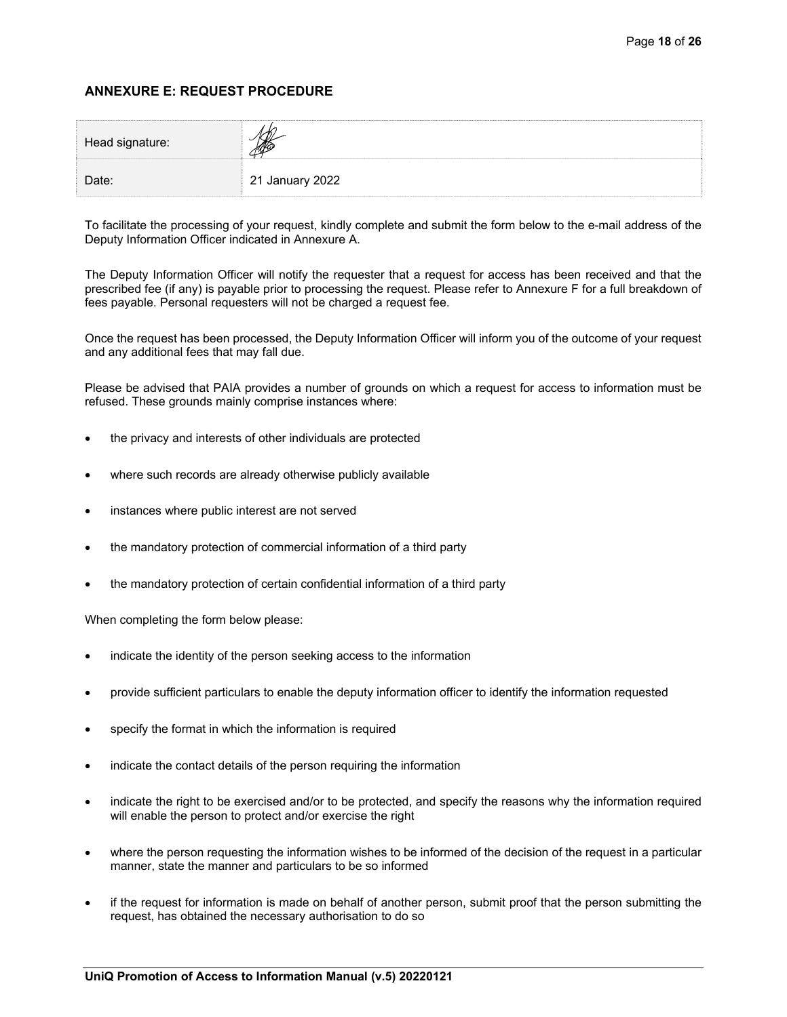# **ANNEXURE E: REQUEST PROCEDURE**

| Head signature: |                 |  |
|-----------------|-----------------|--|
| Date:           | 21 January 2022 |  |

To facilitate the processing of your request, kindly complete and submit the form below to the e-mail address of the Deputy Information Officer indicated in Annexure A.

The Deputy Information Officer will notify the requester that a request for access has been received and that the prescribed fee (if any) is payable prior to processing the request. Please refer to Annexure F for a full breakdown of fees payable. Personal requesters will not be charged a request fee.

Once the request has been processed, the Deputy Information Officer will inform you of the outcome of your request and any additional fees that may fall due.

Please be advised that PAIA provides a number of grounds on which a request for access to information must be refused. These grounds mainly comprise instances where:

- the privacy and interests of other individuals are protected
- where such records are already otherwise publicly available
- instances where public interest are not served
- the mandatory protection of commercial information of a third party
- the mandatory protection of certain confidential information of a third party

When completing the form below please:

- indicate the identity of the person seeking access to the information
- provide sufficient particulars to enable the deputy information officer to identify the information requested
- specify the format in which the information is required
- indicate the contact details of the person requiring the information
- indicate the right to be exercised and/or to be protected, and specify the reasons why the information required will enable the person to protect and/or exercise the right
- where the person requesting the information wishes to be informed of the decision of the request in a particular manner, state the manner and particulars to be so informed
- if the request for information is made on behalf of another person, submit proof that the person submitting the request, has obtained the necessary authorisation to do so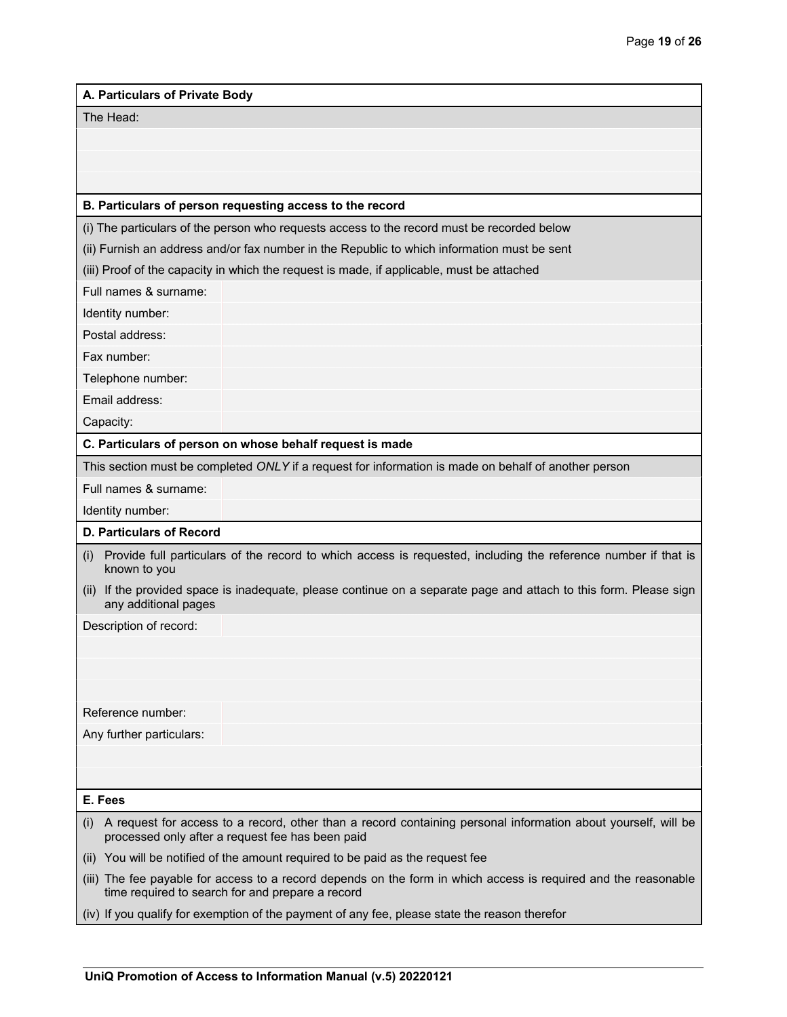#### **A. Particulars of Private Body**

The Head:

#### **B. Particulars of person requesting access to the record**

(i) The particulars of the person who requests access to the record must be recorded below

(ii) Furnish an address and/or fax number in the Republic to which information must be sent

(iii) Proof of the capacity in which the request is made, if applicable, must be attached

Full names & surname:

Identity number:

Postal address:

Fax number:

Telephone number:

Email address:

Capacity:

**C. Particulars of person on whose behalf request is made** 

This section must be completed *ONLY* if a request for information is made on behalf of another person

Full names & surname:

Identity number:

#### **D. Particulars of Record**

- (i) Provide full particulars of the record to which access is requested, including the reference number if that is known to you
- (ii) If the provided space is inadequate, please continue on a separate page and attach to this form. Please sign any additional pages

Description of record:

Reference number:

Any further particulars:

#### **E. Fees**

- (i) A request for access to a record, other than a record containing personal information about yourself, will be processed only after a request fee has been paid
- (ii) You will be notified of the amount required to be paid as the request fee
- (iii) The fee payable for access to a record depends on the form in which access is required and the reasonable time required to search for and prepare a record
- (iv) If you qualify for exemption of the payment of any fee, please state the reason therefor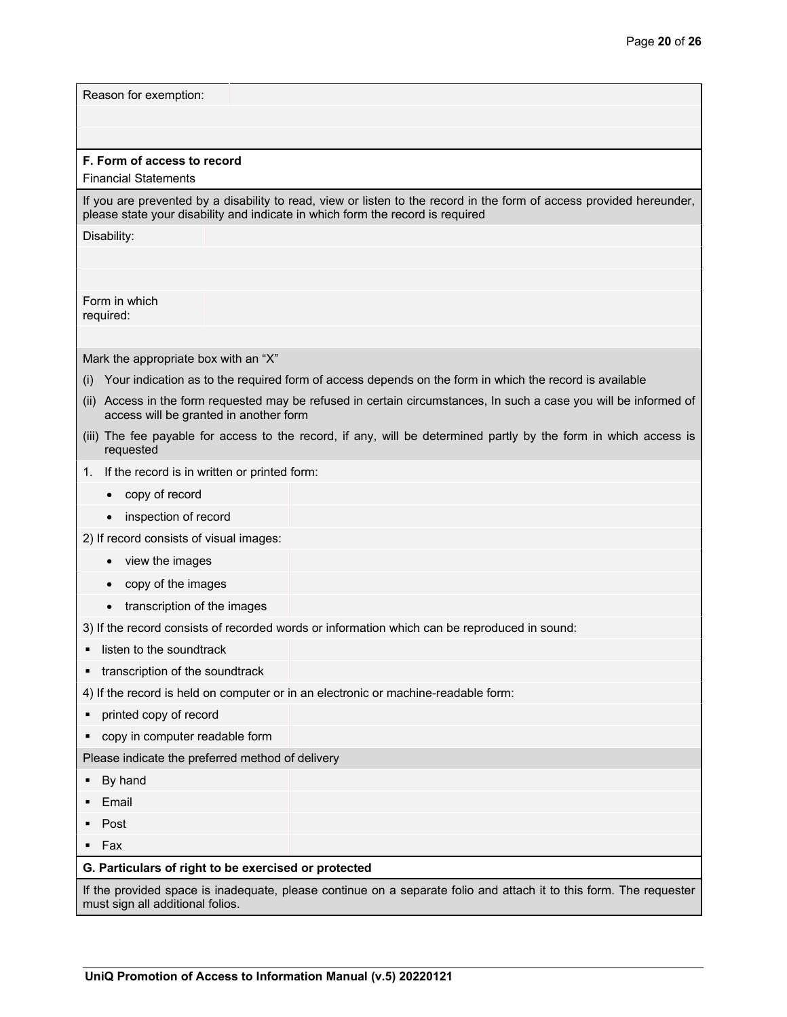| Reason for exemption:                                      |                                                                                                                                                             |
|------------------------------------------------------------|-------------------------------------------------------------------------------------------------------------------------------------------------------------|
|                                                            |                                                                                                                                                             |
|                                                            |                                                                                                                                                             |
| F. Form of access to record<br><b>Financial Statements</b> |                                                                                                                                                             |
|                                                            | If you are prevented by a disability to read, view or listen to the record in the form of access provided hereunder,                                        |
|                                                            | please state your disability and indicate in which form the record is required                                                                              |
| Disability:                                                |                                                                                                                                                             |
|                                                            |                                                                                                                                                             |
|                                                            |                                                                                                                                                             |
| Form in which<br>required:                                 |                                                                                                                                                             |
|                                                            |                                                                                                                                                             |
| Mark the appropriate box with an "X"                       |                                                                                                                                                             |
| (i)                                                        | Your indication as to the required form of access depends on the form in which the record is available                                                      |
|                                                            | (ii) Access in the form requested may be refused in certain circumstances, In such a case you will be informed of<br>access will be granted in another form |
| requested                                                  | (iii) The fee payable for access to the record, if any, will be determined partly by the form in which access is                                            |
| 1. If the record is in written or printed form:            |                                                                                                                                                             |
| copy of record                                             |                                                                                                                                                             |
| inspection of record                                       |                                                                                                                                                             |
| 2) If record consists of visual images:                    |                                                                                                                                                             |
| view the images                                            |                                                                                                                                                             |
| copy of the images                                         |                                                                                                                                                             |
| transcription of the images                                |                                                                                                                                                             |
|                                                            | 3) If the record consists of recorded words or information which can be reproduced in sound:                                                                |
| listen to the soundtrack                                   |                                                                                                                                                             |
| transcription of the soundtrack<br>٠                       |                                                                                                                                                             |
|                                                            | 4) If the record is held on computer or in an electronic or machine-readable form:                                                                          |
| printed copy of record                                     |                                                                                                                                                             |
| copy in computer readable form<br>٠                        |                                                                                                                                                             |
|                                                            | Please indicate the preferred method of delivery                                                                                                            |
| By hand<br>Е                                               |                                                                                                                                                             |
| Email                                                      |                                                                                                                                                             |
| Post                                                       |                                                                                                                                                             |
| Fax<br>٠                                                   |                                                                                                                                                             |
|                                                            | G. Particulars of right to be exercised or protected                                                                                                        |
| must sign all additional folios.                           | If the provided space is inadequate, please continue on a separate folio and attach it to this form. The requester                                          |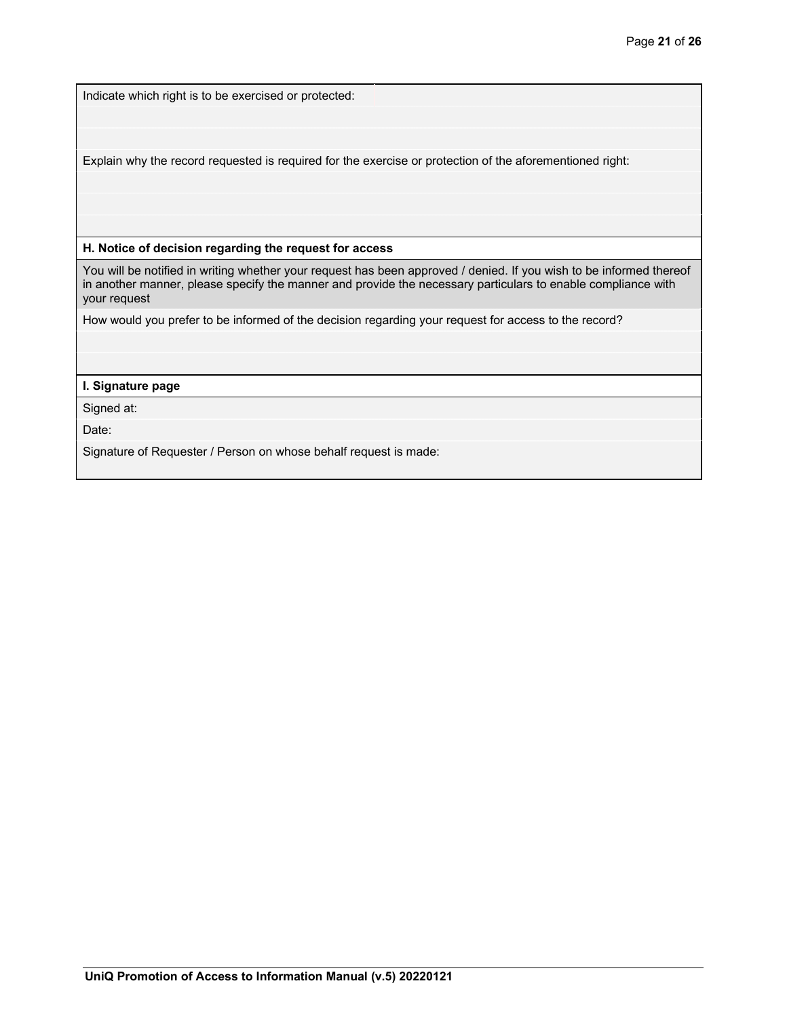Indicate which right is to be exercised or protected:

Explain why the record requested is required for the exercise or protection of the aforementioned right:

**H. Notice of decision regarding the request for access** 

You will be notified in writing whether your request has been approved / denied. If you wish to be informed thereof in another manner, please specify the manner and provide the necessary particulars to enable compliance with your request

How would you prefer to be informed of the decision regarding your request for access to the record?

## **I. Signature page**

Signed at:

Date:

Signature of Requester / Person on whose behalf request is made: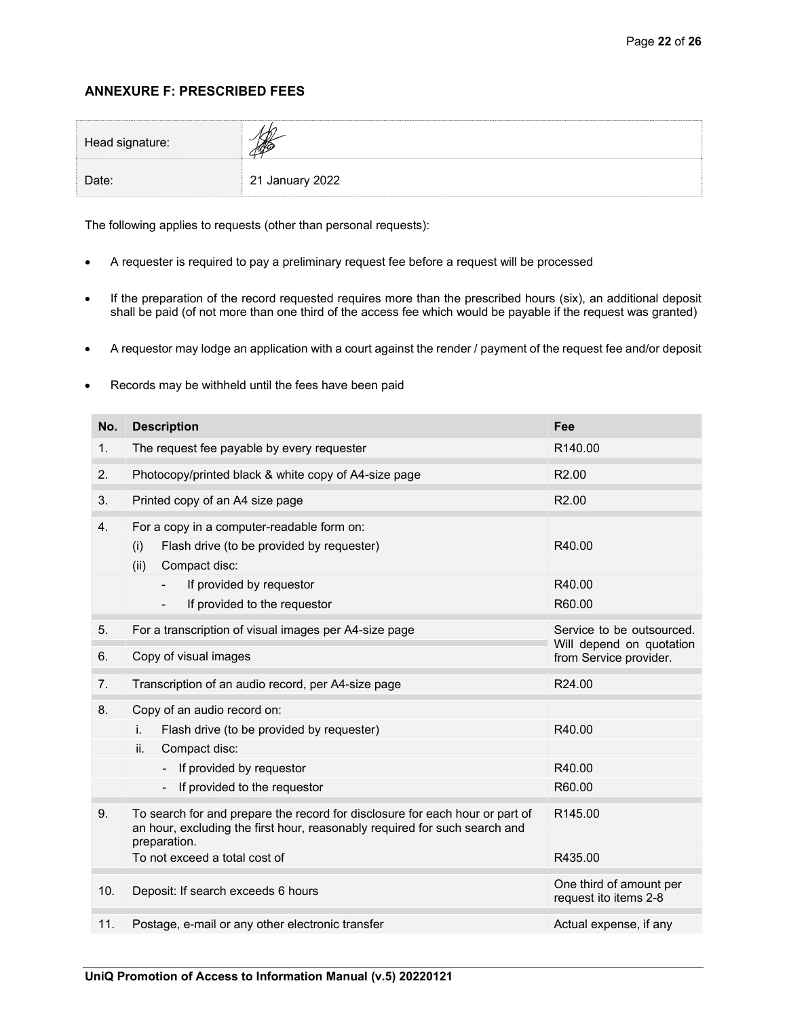# **ANNEXURE F: PRESCRIBED FEES**

| Head signature: |                 |  |
|-----------------|-----------------|--|
| Date:           | 21 January 2022 |  |

The following applies to requests (other than personal requests):

- A requester is required to pay a preliminary request fee before a request will be processed
- If the preparation of the record requested requires more than the prescribed hours (six), an additional deposit shall be paid (of not more than one third of the access fee which would be payable if the request was granted)
- A requestor may lodge an application with a court against the render / payment of the request fee and/or deposit
- Records may be withheld until the fees have been paid

| No. | <b>Description</b>                                                                                                                                                         | Fee                                                   |
|-----|----------------------------------------------------------------------------------------------------------------------------------------------------------------------------|-------------------------------------------------------|
| 1.  | The request fee payable by every requester                                                                                                                                 | R140.00                                               |
| 2.  | Photocopy/printed black & white copy of A4-size page                                                                                                                       | R <sub>2.00</sub>                                     |
| 3.  | Printed copy of an A4 size page                                                                                                                                            | R <sub>2.00</sub>                                     |
| 4.  | For a copy in a computer-readable form on:                                                                                                                                 |                                                       |
|     | Flash drive (to be provided by requester)<br>(i)                                                                                                                           | R40.00                                                |
|     | (ii)<br>Compact disc:                                                                                                                                                      |                                                       |
|     | If provided by requestor                                                                                                                                                   | R40.00                                                |
|     | If provided to the requestor                                                                                                                                               | R60.00                                                |
| 5.  | For a transcription of visual images per A4-size page                                                                                                                      | Service to be outsourced.<br>Will depend on quotation |
| 6.  | Copy of visual images                                                                                                                                                      | from Service provider.                                |
| 7.  | Transcription of an audio record, per A4-size page                                                                                                                         | R <sub>24.00</sub>                                    |
| 8.  | Copy of an audio record on:                                                                                                                                                |                                                       |
|     | Flash drive (to be provided by requester)<br>i.                                                                                                                            | R40.00                                                |
|     | ii.<br>Compact disc:                                                                                                                                                       |                                                       |
|     | If provided by requestor                                                                                                                                                   | R40.00                                                |
|     | If provided to the requestor<br>$\overline{\phantom{0}}$                                                                                                                   | R60.00                                                |
| 9.  | To search for and prepare the record for disclosure for each hour or part of<br>an hour, excluding the first hour, reasonably required for such search and<br>preparation. | R145.00                                               |
|     | To not exceed a total cost of                                                                                                                                              | R435.00                                               |
| 10. | Deposit: If search exceeds 6 hours                                                                                                                                         | One third of amount per<br>request ito items 2-8      |
| 11. | Postage, e-mail or any other electronic transfer                                                                                                                           | Actual expense, if any                                |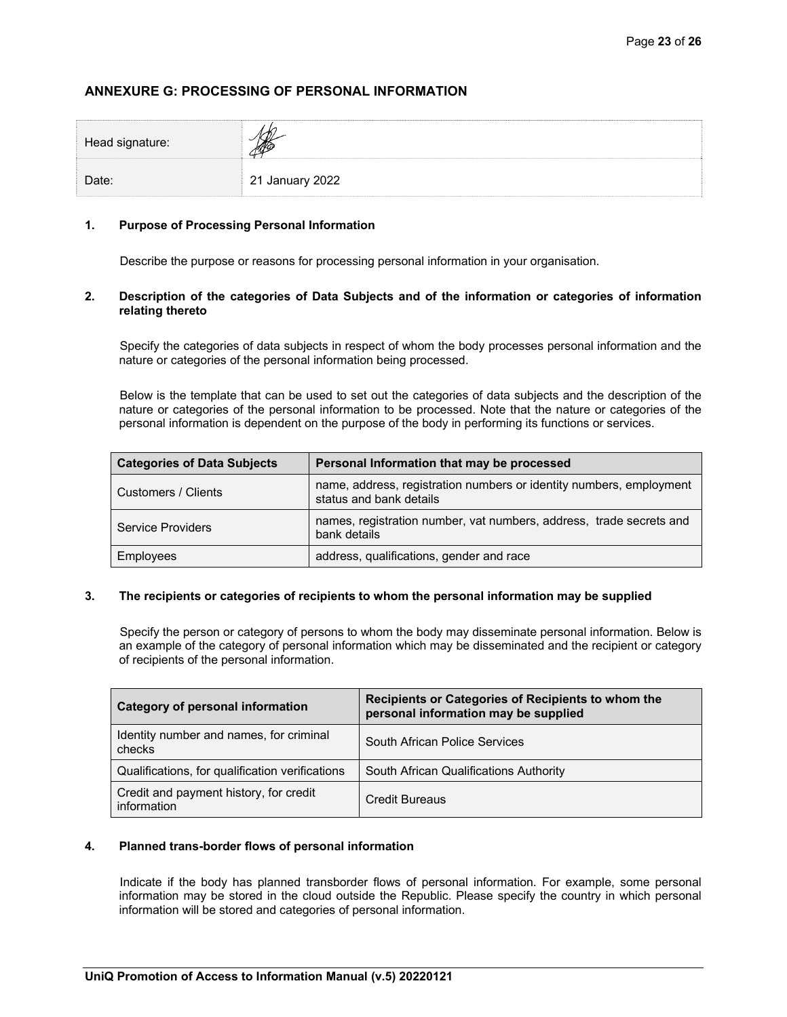# **ANNEXURE G: PROCESSING OF PERSONAL INFORMATION**

| Head signature: |                 |  |
|-----------------|-----------------|--|
| Date:           | 21 January 2022 |  |

### **1. Purpose of Processing Personal Information**

Describe the purpose or reasons for processing personal information in your organisation.

### **2. Description of the categories of Data Subjects and of the information or categories of information relating thereto**

Specify the categories of data subjects in respect of whom the body processes personal information and the nature or categories of the personal information being processed.

Below is the template that can be used to set out the categories of data subjects and the description of the nature or categories of the personal information to be processed. Note that the nature or categories of the personal information is dependent on the purpose of the body in performing its functions or services.

| <b>Categories of Data Subjects</b> | Personal Information that may be processed                                                     |
|------------------------------------|------------------------------------------------------------------------------------------------|
| Customers / Clients                | name, address, registration numbers or identity numbers, employment<br>status and bank details |
| Service Providers                  | names, registration number, vat numbers, address, trade secrets and<br>bank details            |
| <b>Employees</b>                   | address, qualifications, gender and race                                                       |

### **3. The recipients or categories of recipients to whom the personal information may be supplied**

Specify the person or category of persons to whom the body may disseminate personal information. Below is an example of the category of personal information which may be disseminated and the recipient or category of recipients of the personal information.

| <b>Category of personal information</b>               | Recipients or Categories of Recipients to whom the<br>personal information may be supplied |  |
|-------------------------------------------------------|--------------------------------------------------------------------------------------------|--|
| Identity number and names, for criminal<br>checks     | South African Police Services                                                              |  |
| Qualifications, for qualification verifications       | South African Qualifications Authority                                                     |  |
| Credit and payment history, for credit<br>information | Credit Bureaus                                                                             |  |

## **4. Planned trans-border flows of personal information**

Indicate if the body has planned transborder flows of personal information. For example, some personal information may be stored in the cloud outside the Republic. Please specify the country in which personal information will be stored and categories of personal information.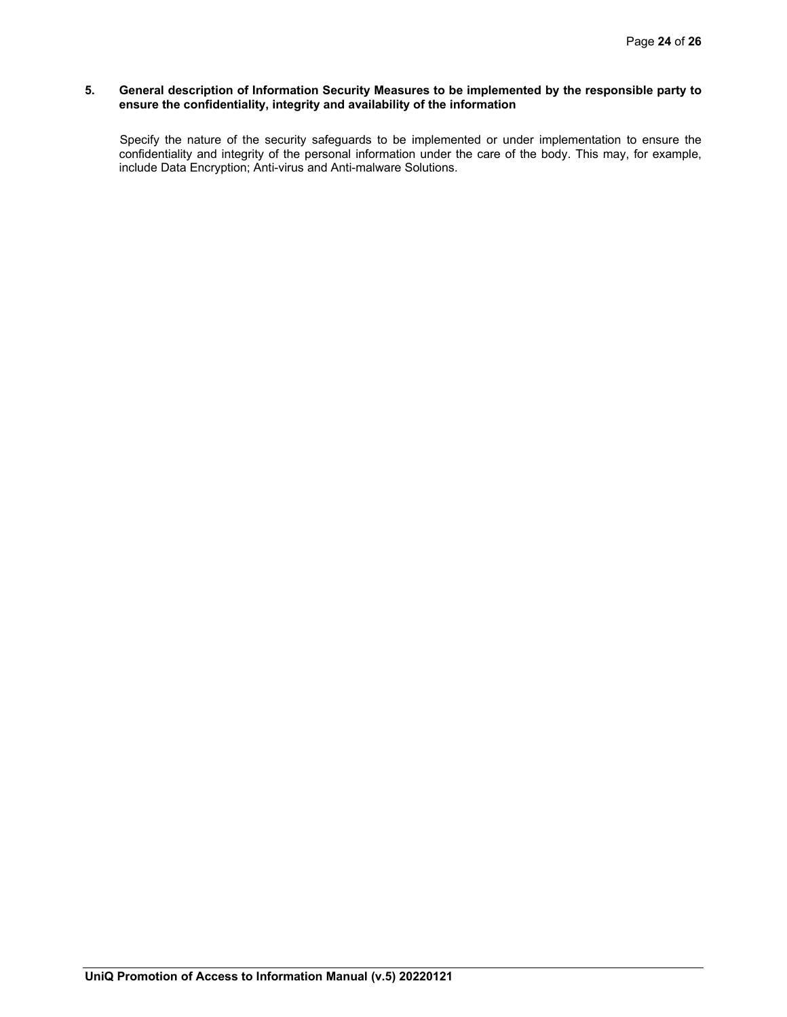### **5. General description of Information Security Measures to be implemented by the responsible party to ensure the confidentiality, integrity and availability of the information**

Specify the nature of the security safeguards to be implemented or under implementation to ensure the confidentiality and integrity of the personal information under the care of the body. This may, for example, include Data Encryption; Anti-virus and Anti-malware Solutions.